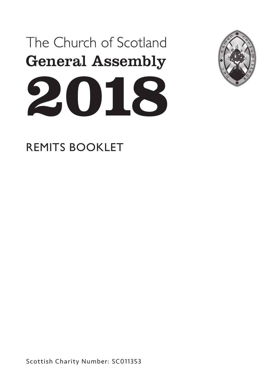



REMITS BOOKLET

Scottish Charity Number: SC011353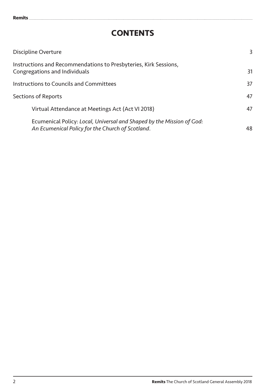# **CONTENTS**

| Discipline Overture                                                                                                       | 3  |
|---------------------------------------------------------------------------------------------------------------------------|----|
| Instructions and Recommendations to Presbyteries, Kirk Sessions,<br>Congregations and Individuals                         | 31 |
| Instructions to Councils and Committees                                                                                   | 37 |
| Sections of Reports                                                                                                       | 47 |
| Virtual Attendance at Meetings Act (Act VI 2018)                                                                          | 47 |
| Ecumenical Policy: Local, Universal and Shaped by the Mission of God:<br>An Ecumenical Policy for the Church of Scotland. | 48 |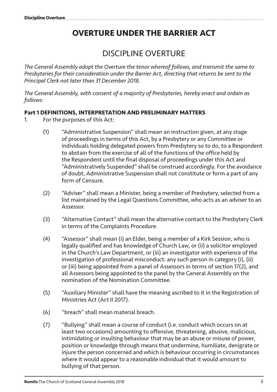# **OVERTURE UNDER THE BARRIER ACT**

# DISCIPLINE OVERTURE

*The General Assembly adopt the Overture the tenor whereof follows, and transmit the same to Presbyteries for their consideration under the Barrier Act, directing that returns be sent to the Principal Clerk not later than 31 December 2018.*

*The General Assembly, with consent of a majority of Presbyteries, hereby enact and ordain as follows:*

#### **Part 1 DEFINITIONS, INTERPRETATION AND PRELIMINARY MATTERS**

- 1. For the purposes of this Act:
	- (1) "Administrative Suspension" shall mean an instruction given, at any stage of proceedings in terms of this Act, by a Presbytery or any Committee or individuals holding delegated powers from Presbytery so to do, to a Respondent to abstain from the exercise of all of the functions of the office held by the Respondent until the final disposal of proceedings under this Act and "Administratively Suspended" shall be construed accordingly. For the avoidance of doubt, Administrative Suspension shall not constitute or form a part of any form of Censure.
	- (2) "Adviser" shall mean a Minister, being a member of Presbytery, selected from a list maintained by the Legal Questions Committee, who acts as an adviser to an Assessor.
	- (3) "Alternative Contact" shall mean the alternative contact to the Presbytery Clerk in terms of the Complaints Procedure.
	- (4) "Assessor" shall mean (i) an Elder, being a member of a Kirk Session, who is legally qualified and has knowledge of Church Law, or (ii) a solicitor employed in the Church's Law Department, or (iii) an investigator with experience of the investigation of professional misconduct: any such person in category (i), (ii) or (iii) being appointed from a panel of Assessors in terms of section 17(2), and all Assessors being appointed to the panel by the General Assembly on the nomination of the Nomination Committee.
	- (5) "Auxiliary Minister" shall have the meaning ascribed to it in the Registration of Ministries Act (Act II 2017).
	- (6) "breach" shall mean material breach.
	- (7) "Bullying" shall mean a course of conduct (i.e. conduct which occurs on at least two occasions) amounting to offensive, threatening, abusive, malicious, intimidating or insulting behaviour that may be an abuse or misuse of power, position or knowledge through means that undermine, humiliate, denigrate or injure the person concerned and which is behaviour occurring in circumstances where it would appear to a reasonable individual that it would amount to bullying of that person.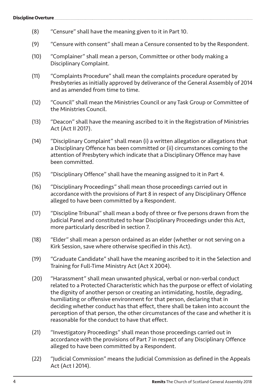- (8) "Censure" shall have the meaning given to it in Part 10.
- (9) "Censure with consent" shall mean a Censure consented to by the Respondent.
- (10) "Complainer" shall mean a person, Committee or other body making a Disciplinary Complaint.
- (11) "Complaints Procedure" shall mean the complaints procedure operated by Presbyteries as initially approved by deliverance of the General Assembly of 2014 and as amended from time to time.
- (12) "Council" shall mean the Ministries Council or any Task Group or Committee of the Ministries Council.
- (13) "Deacon" shall have the meaning ascribed to it in the Registration of Ministries Act (Act II 2017).
- (14) "Disciplinary Complaint" shall mean (i) a written allegation or allegations that a Disciplinary Offence has been committed or (ii) circumstances coming to the attention of Presbytery which indicate that a Disciplinary Offence may have been committed.
- (15) "Disciplinary Offence" shall have the meaning assigned to it in Part 4.
- (16) "Disciplinary Proceedings" shall mean those proceedings carried out in accordance with the provisions of Part 8 in respect of any Disciplinary Offence alleged to have been committed by a Respondent.
- (17) "Discipline Tribunal" shall mean a body of three or five persons drawn from the Judicial Panel and constituted to hear Disciplinary Proceedings under this Act, more particularly described in section 7.
- (18) "Elder" shall mean a person ordained as an elder (whether or not serving on a Kirk Session, save where otherwise specified in this Act).
- (19) "Graduate Candidate" shall have the meaning ascribed to it in the Selection and Training for Full-Time Ministry Act (Act X 2004).
- (20) "Harassment" shall mean unwanted physical, verbal or non-verbal conduct related to a Protected Characteristic which has the purpose or effect of violating the dignity of another person or creating an intimidating, hostile, degrading, humiliating or offensive environment for that person, declaring that in deciding whether conduct has that effect, there shall be taken into account the perception of that person, the other circumstances of the case and whether it is reasonable for the conduct to have that effect.
- (21) "Investigatory Proceedings" shall mean those proceedings carried out in accordance with the provisions of Part 7 in respect of any Disciplinary Offence alleged to have been committed by a Respondent.
- (22) "Judicial Commission" means the Judicial Commission as defined in the Appeals Act (Act I 2014).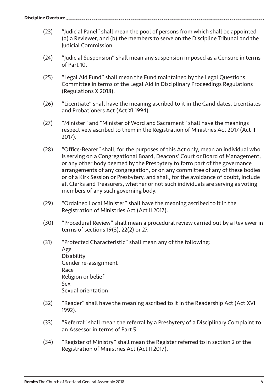- (23) "Judicial Panel" shall mean the pool of persons from which shall be appointed (a) a Reviewer, and (b) the members to serve on the Discipline Tribunal and the Judicial Commission.
- (24) "Judicial Suspension" shall mean any suspension imposed as a Censure in terms of Part 10.
- (25) "Legal Aid Fund" shall mean the Fund maintained by the Legal Questions Committee in terms of the Legal Aid in Disciplinary Proceedings Regulations (Regulations X 2018).
- (26) "Licentiate" shall have the meaning ascribed to it in the Candidates, Licentiates and Probationers Act (Act XI 1994).
- (27) "Minister" and "Minister of Word and Sacrament" shall have the meanings respectively ascribed to them in the Registration of Ministries Act 2017 (Act II 2017).
- (28) "Office-Bearer" shall, for the purposes of this Act only, mean an individual who is serving on a Congregational Board, Deacons' Court or Board of Management, or any other body deemed by the Presbytery to form part of the governance arrangements of any congregation, or on any committee of any of these bodies or of a Kirk Session or Presbytery, and shall, for the avoidance of doubt, include all Clerks and Treasurers, whether or not such individuals are serving as voting members of any such governing body.
- (29) "Ordained Local Minister" shall have the meaning ascribed to it in the Registration of Ministries Act (Act II 2017).
- (30) "Procedural Review" shall mean a procedural review carried out by a Reviewer in terms of sections 19(3), 22(2) or 27.
- (31) "Protected Characteristic" shall mean any of the following: Age Disability Gender re-assignment Race Religion or belief Sex Sexual orientation
- (32) "Reader" shall have the meaning ascribed to it in the Readership Act (Act XVII 1992).
- (33) "Referral" shall mean the referral by a Presbytery of a Disciplinary Complaint to an Assessor in terms of Part 5.
- (34) "Register of Ministry" shall mean the Register referred to in section 2 of the Registration of Ministries Act (Act II 2017).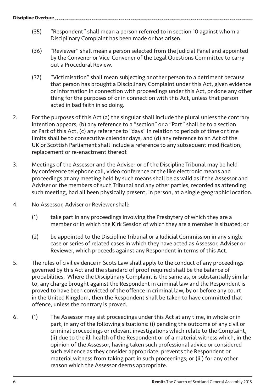- (35) "Respondent" shall mean a person referred to in section 10 against whom a Disciplinary Complaint has been made or has arisen.
- (36) "Reviewer" shall mean a person selected from the Judicial Panel and appointed by the Convener or Vice-Convener of the Legal Questions Committee to carry out a Procedural Review.
- (37) "Victimisation" shall mean subjecting another person to a detriment because that person has brought a Disciplinary Complaint under this Act, given evidence or information in connection with proceedings under this Act, or done any other thing for the purposes of or in connection with this Act, unless that person acted in bad faith in so doing.
- 2. For the purposes of this Act (a) the singular shall include the plural unless the contrary intention appears; (b) any reference to a "section" or a "Part" shall be to a section or Part of this Act, (c) any reference to "days" in relation to periods of time or time limits shall be to consecutive calendar days, and (d) any reference to an Act of the UK or Scottish Parliament shall include a reference to any subsequent modification, replacement or re-enactment thereof.
- 3. Meetings of the Assessor and the Adviser or of the Discipline Tribunal may be held by conference telephone call, video conference or the like electronic means and proceedings at any meeting held by such means shall be as valid as if the Assessor and Adviser or the members of such Tribunal and any other parties, recorded as attending such meeting, had all been physically present, in person, at a single geographic location.
- 4. No Assessor, Adviser or Reviewer shall:
	- (1) take part in any proceedings involving the Presbytery of which they are a member or in which the Kirk Session of which they are a member is situated; or
	- (2) be appointed to the Discipline Tribunal or a Judicial Commission in any single case or series of related cases in which they have acted as Assessor, Adviser or Reviewer, which proceeds against any Respondent in terms of this Act.
- 5. The rules of civil evidence in Scots Law shall apply to the conduct of any proceedings governed by this Act and the standard of proof required shall be the balance of probabilities. Where the Disciplinary Complaint is the same as, or substantially similar to, any charge brought against the Respondent in criminal law and the Respondent is proved to have been convicted of the offence in criminal law, by or before any court in the United Kingdom, then the Respondent shall be taken to have committed that offence, unless the contrary is proved.
- 6. (1) The Assessor may sist proceedings under this Act at any time, in whole or in part, in any of the following situations: (i) pending the outcome of any civil or criminal proceedings or relevant investigations which relate to the Complaint, (ii) due to the ill-health of the Respondent or of a material witness which, in the opinion of the Assessor, having taken such professional advice or considered such evidence as they consider appropriate, prevents the Respondent or material witness from taking part in such proceedings; or (iii) for any other reason which the Assessor deems appropriate.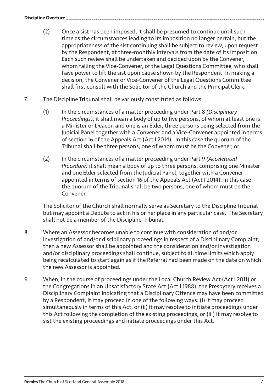- (2) Once a sist has been imposed, it shall be presumed to continue until such time as the circumstances leading to its imposition no longer pertain, but the appropriateness of the sist continuing shall be subject to review, upon request by the Respondent, at three-monthly intervals from the date of its imposition. Each such review shall be undertaken and decided upon by the Convener, whom failing the Vice-Convener, of the Legal Questions Committee, who shall have power to lift the sist upon cause shown by the Respondent. In making a decision, the Convener or Vice-Convener of the Legal Questions Committee shall first consult with the Solicitor of the Church and the Principal Clerk.
- 7. The Discipline Tribunal shall be variously constituted as follows:
	- (1) In the circumstances of a matter proceeding under Part 8 *(Disciplinary Proceedings)*, it shall mean a body of up to five persons, of whom at least one is a Minister or Deacon and one is an Elder, three persons being selected from the Judicial Panel together with a Convener and a Vice-Convener appointed in terms of section 16 of the Appeals Act (Act I 2014). In this case the quorum of the Tribunal shall be three persons, one of whom must be the Convener, or
	- (2) In the circumstances of a matter proceeding under Part 9 *(Accelerated Procedure)* it shall mean a body of up to three persons, comprising one Minister and one Elder selected from the Judicial Panel, together with a Convener appointed in terms of section 16 of the Appeals Act (Act I 2014). In this case the quorum of the Tribunal shall be two persons, one of whom must be the Convener.

The Solicitor of the Church shall normally serve as Secretary to the Discipline Tribunal but may appoint a Depute to act in his or her place in any particular case. The Secretary shall not be a member of the Discipline Tribunal.

- 8. Where an Assessor becomes unable to continue with consideration of and/or investigation of and/or disciplinary proceedings in respect of a Disciplinary Complaint, then a new Assessor shall be appointed and the consideration and/or investigation and/or disciplinary proceedings shall continue, subject to all time limits which apply being recalculated to start again as if the Referral had been made on the date on which the new Assessor is appointed.
- 9. When, in the course of proceedings under the Local Church Review Act (Act I 2011) or the Congregations in an Unsatisfactory State Act (Act I 1988), the Presbytery receives a Disciplinary Complaint indicating that a Disciplinary Offence may have been committed by a Respondent, it may proceed in one of the following ways: (i) it may proceed simultaneously in terms of this Act, or (ii) it may resolve to initiate proceedings under this Act following the completion of the existing proceedings, or (iii) it may resolve to sist the existing proceedings and initiate proceedings under this Act.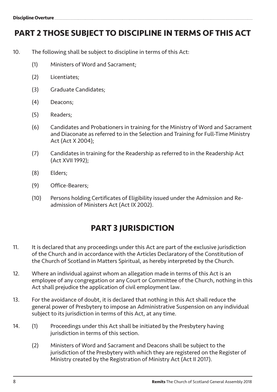# **PART 2 THOSE SUBJECT TO DISCIPLINE IN TERMS OF THIS ACT**

- 10. The following shall be subject to discipline in terms of this Act:
	- (1) Ministers of Word and Sacrament;
	- (2) Licentiates;
	- (3) Graduate Candidates;
	- (4) Deacons;
	- (5) Readers;
	- (6) Candidates and Probationers in training for the Ministry of Word and Sacrament and Diaconate as referred to in the Selection and Training for Full-Time Ministry Act (Act X 2004);
	- (7) Candidates in training for the Readership as referred to in the Readership Act (Act XVII 1992);
	- (8) Elders;
	- (9) Office-Bearers;
	- (10) Persons holding Certificates of Eligibility issued under the Admission and Readmission of Ministers Act (Act IX 2002).

# **PART 3 JURISDICTION**

- 11. It is declared that any proceedings under this Act are part of the exclusive jurisdiction of the Church and in accordance with the Articles Declaratory of the Constitution of the Church of Scotland in Matters Spiritual, as hereby interpreted by the Church.
- 12. Where an individual against whom an allegation made in terms of this Act is an employee of any congregation or any Court or Committee of the Church, nothing in this Act shall prejudice the application of civil employment law.
- 13. For the avoidance of doubt, it is declared that nothing in this Act shall reduce the general power of Presbytery to impose an Administrative Suspension on any individual subject to its jurisdiction in terms of this Act, at any time.
- 14. (1) Proceedings under this Act shall be initiated by the Presbytery having jurisdiction in terms of this section.
	- (2) Ministers of Word and Sacrament and Deacons shall be subject to the jurisdiction of the Presbytery with which they are registered on the Register of Ministry created by the Registration of Ministry Act (Act II 2017).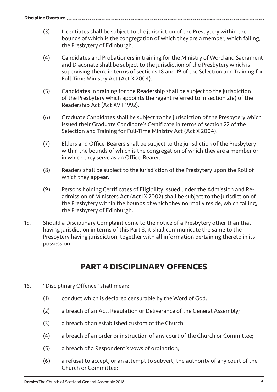- (3) Licentiates shall be subject to the jurisdiction of the Presbytery within the bounds of which is the congregation of which they are a member, which failing, the Presbytery of Edinburgh.
- (4) Candidates and Probationers in training for the Ministry of Word and Sacrament and Diaconate shall be subject to the jurisdiction of the Presbytery which is supervising them, in terms of sections 18 and 19 of the Selection and Training for Full-Time Ministry Act (Act X 2004).
- (5) Candidates in training for the Readership shall be subject to the jurisdiction of the Presbytery which appoints the regent referred to in section 2(e) of the Readership Act (Act XVII 1992).
- (6) Graduate Candidates shall be subject to the jurisdiction of the Presbytery which issued their Graduate Candidate's Certificate in terms of section 22 of the Selection and Training for Full-Time Ministry Act (Act X 2004).
- (7) Elders and Office-Bearers shall be subject to the jurisdiction of the Presbytery within the bounds of which is the congregation of which they are a member or in which they serve as an Office-Bearer.
- (8) Readers shall be subject to the jurisdiction of the Presbytery upon the Roll of which they appear.
- (9) Persons holding Certificates of Eligibility issued under the Admission and Readmission of Ministers Act (Act IX 2002) shall be subject to the jurisdiction of the Presbytery within the bounds of which they normally reside, which failing, the Presbytery of Edinburgh.
- 15. Should a Disciplinary Complaint come to the notice of a Presbytery other than that having jurisdiction in terms of this Part 3, it shall communicate the same to the Presbytery having jurisdiction, together with all information pertaining thereto in its possession.

# **PART 4 DISCIPI INARY OFFENCES**

- 16. "Disciplinary Offence" shall mean:
	- (1) conduct which is declared censurable by the Word of God:
	- (2) a breach of an Act, Regulation or Deliverance of the General Assembly;
	- (3) a breach of an established custom of the Church;
	- (4) a breach of an order or instruction of any court of the Church or Committee;
	- (5) a breach of a Respondent's vows of ordination;
	- (6) a refusal to accept, or an attempt to subvert, the authority of any court of the Church or Committee;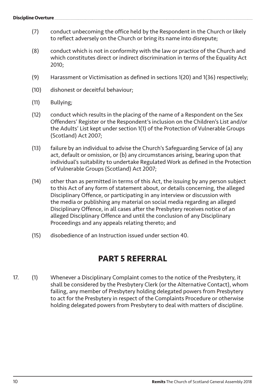- (7) conduct unbecoming the office held by the Respondent in the Church or likely to reflect adversely on the Church or bring its name into disrepute;
- (8) conduct which is not in conformity with the law or practice of the Church and which constitutes direct or indirect discrimination in terms of the Equality Act 2010;
- (9) Harassment or Victimisation as defined in sections 1(20) and 1(36) respectively;
- (10) dishonest or deceitful behaviour;
- (11) Bullying;
- (12) conduct which results in the placing of the name of a Respondent on the Sex Offenders' Register or the Respondent's inclusion on the Children's List and/or the Adults' List kept under section 1(1) of the Protection of Vulnerable Groups (Scotland) Act 2007;
- (13) failure by an individual to advise the Church's Safeguarding Service of (a) any act, default or omission, or (b) any circumstances arising, bearing upon that individual's suitability to undertake Regulated Work as defined in the Protection of Vulnerable Groups (Scotland) Act 2007;
- (14) other than as permitted in terms of this Act, the issuing by any person subject to this Act of any form of statement about, or details concerning, the alleged Disciplinary Offence, or participating in any interview or discussion with the media or publishing any material on social media regarding an alleged Disciplinary Offence, in all cases after the Presbytery receives notice of an alleged Disciplinary Offence and until the conclusion of any Disciplinary Proceedings and any appeals relating thereto; and
- (15) disobedience of an Instruction issued under section 40.

## **PART 5 REFERRAL**

17. (1) Whenever a Disciplinary Complaint comes to the notice of the Presbytery, it shall be considered by the Presbytery Clerk (or the Alternative Contact), whom failing, any member of Presbytery holding delegated powers from Presbytery to act for the Presbytery in respect of the Complaints Procedure or otherwise holding delegated powers from Presbytery to deal with matters of discipline.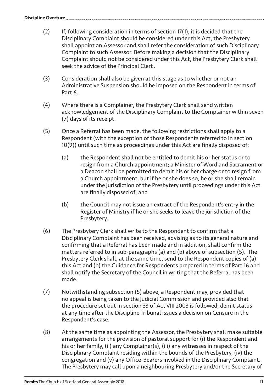- (2) If, following consideration in terms of section 17(1), it is decided that the Disciplinary Complaint should be considered under this Act, the Presbytery shall appoint an Assessor and shall refer the consideration of such Disciplinary Complaint to such Assessor. Before making a decision that the Disciplinary Complaint should not be considered under this Act, the Presbytery Clerk shall seek the advice of the Principal Clerk.
- (3) Consideration shall also be given at this stage as to whether or not an Administrative Suspension should be imposed on the Respondent in terms of Part 6.
- (4) Where there is a Complainer, the Presbytery Clerk shall send written acknowledgement of the Disciplinary Complaint to the Complainer within seven (7) days of its receipt.
- (5) Once a Referral has been made, the following restrictions shall apply to a Respondent (with the exception of those Respondents referred to in section 10(9)) until such time as proceedings under this Act are finally disposed of:
	- (a) the Respondent shall not be entitled to demit his or her status or to resign from a Church appointment; a Minister of Word and Sacrament or a Deacon shall be permitted to demit his or her charge or to resign from a Church appointment, but if he or she does so, he or she shall remain under the jurisdiction of the Presbytery until proceedings under this Act are finally disposed of; and
	- (b) the Council may not issue an extract of the Respondent's entry in the Register of Ministry if he or she seeks to leave the jurisdiction of the Presbytery.
- (6) The Presbytery Clerk shall write to the Respondent to confirm that a Disciplinary Complaint has been received, advising as to its general nature and confirming that a Referral has been made and in addition, shall confirm the matters referred to in sub-paragraphs (a) and (b) above of subsection (5). The Presbytery Clerk shall, at the same time, send to the Respondent copies of (a) this Act and (b) the Guidance for Respondents prepared in terms of Part 16 and shall notify the Secretary of the Council in writing that the Referral has been made.
- (7) Notwithstanding subsection (5) above, a Respondent may, provided that no appeal is being taken to the Judicial Commission and provided also that the procedure set out in section 33 of Act VIII 2003 is followed, demit status at any time after the Discipline Tribunal issues a decision on Censure in the Respondent's case.
- (8) At the same time as appointing the Assessor, the Presbytery shall make suitable arrangements for the provision of pastoral support for (i) the Respondent and his or her family, (ii) any Complainer(s), (iii) any witnesses in respect of the Disciplinary Complaint residing within the bounds of the Presbytery, (iv) the congregation and (v) any Office-Bearers involved in the Disciplinary Complaint. The Presbytery may call upon a neighbouring Presbytery and/or the Secretary of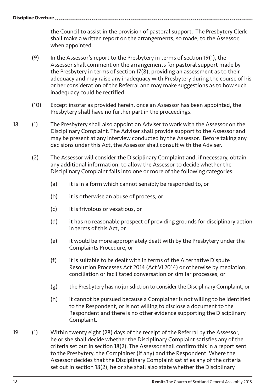**Discipline Overture** 

the Council to assist in the provision of pastoral support. The Presbytery Clerk shall make a written report on the arrangements, so made, to the Assessor, when appointed.

- (9) In the Assessor's report to the Presbytery in terms of section 19(1), the Assessor shall comment on the arrangements for pastoral support made by the Presbytery in terms of section 17(8), providing an assessment as to their adequacy and may raise any inadequacy with Presbytery during the course of his or her consideration of the Referral and may make suggestions as to how such inadequacy could be rectified.
- (10) Except insofar as provided herein, once an Assessor has been appointed, the Presbytery shall have no further part in the proceedings.
- 18. (1) The Presbytery shall also appoint an Adviser to work with the Assessor on the Disciplinary Complaint. The Adviser shall provide support to the Assessor and may be present at any interview conducted by the Assessor. Before taking any decisions under this Act, the Assessor shall consult with the Adviser.
	- (2) The Assessor will consider the Disciplinary Complaint and, if necessary, obtain any additional information, to allow the Assessor to decide whether the Disciplinary Complaint falls into one or more of the following categories:
		- (a) it is in a form which cannot sensibly be responded to, or
		- (b) it is otherwise an abuse of process, or
		- (c) it is frivolous or vexatious, or
		- (d) it has no reasonable prospect of providing grounds for disciplinary action in terms of this Act, or
		- (e) it would be more appropriately dealt with by the Presbytery under the Complaints Procedure, or
		- (f) it is suitable to be dealt with in terms of the Alternative Dispute Resolution Processes Act 2014 (Act VI 2014) or otherwise by mediation, conciliation or facilitated conversation or similar processes, or
		- (g) the Presbytery has no jurisdiction to consider the Disciplinary Complaint, or
		- (h) it cannot be pursued because a Complainer is not willing to be identified to the Respondent, or is not willing to disclose a document to the Respondent and there is no other evidence supporting the Disciplinary Complaint.
- 19. (1) Within twenty eight (28) days of the receipt of the Referral by the Assessor, he or she shall decide whether the Disciplinary Complaint satisfies any of the criteria set out in section 18(2). The Assessor shall confirm this in a report sent to the Presbytery, the Complainer (if any) and the Respondent. Where the Assessor decides that the Disciplinary Complaint satisfies any of the criteria set out in section 18(2), he or she shall also state whether the Disciplinary

12 **Remits** The Church of Scotland General Assembly 2018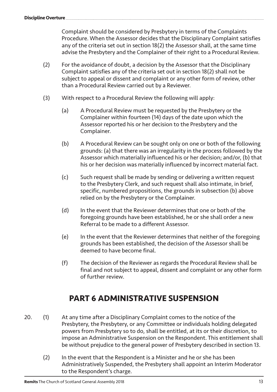Complaint should be considered by Presbytery in terms of the Complaints Procedure. When the Assessor decides that the Disciplinary Complaint satisfies any of the criteria set out in section 18(2) the Assessor shall, at the same time advise the Presbytery and the Complainer of their right to a Procedural Review.

- (2) For the avoidance of doubt, a decision by the Assessor that the Disciplinary Complaint satisfies any of the criteria set out in section 18(2) shall not be subject to appeal or dissent and complaint or any other form of review, other than a Procedural Review carried out by a Reviewer.
- (3) With respect to a Procedural Review the following will apply:
	- (a) A Procedural Review must be requested by the Presbytery or the Complainer within fourteen (14) days of the date upon which the Assessor reported his or her decision to the Presbytery and the Complainer.
	- (b) A Procedural Review can be sought only on one or both of the following grounds: (a) that there was an irregularity in the process followed by the Assessor which materially influenced his or her decision; and/or, (b) that his or her decision was materially influenced by incorrect material fact.
	- (c) Such request shall be made by sending or delivering a written request to the Presbytery Clerk, and such request shall also intimate, in brief, specific, numbered propositions, the grounds in subsection (b) above relied on by the Presbytery or the Complainer.
	- (d) In the event that the Reviewer determines that one or both of the foregoing grounds have been established, he or she shall order a new Referral to be made to a different Assessor.
	- (e) In the event that the Reviewer determines that neither of the foregoing grounds has been established, the decision of the Assessor shall be deemed to have become final.
	- (f) The decision of the Reviewer as regards the Procedural Review shall be final and not subject to appeal, dissent and complaint or any other form of further review.

# **PART 6 ADMINISTRATIVE SUSPENSION**

- 20. (1) At any time after a Disciplinary Complaint comes to the notice of the Presbytery, the Presbytery, or any Committee or individuals holding delegated powers from Presbytery so to do, shall be entitled, at its or their discretion, to impose an Administrative Suspension on the Respondent. This entitlement shall be without prejudice to the general power of Presbytery described in section 13.
	- (2) In the event that the Respondent is a Minister and he or she has been Administratively Suspended, the Presbytery shall appoint an Interim Moderator to the Respondent's charge.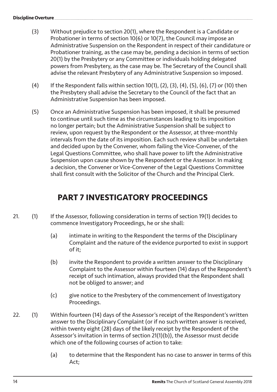- (3) Without prejudice to section 20(1), where the Respondent is a Candidate or Probationer in terms of section 10(6) or 10(7), the Council may impose an Administrative Suspension on the Respondent in respect of their candidature or Probationer training, as the case may be, pending a decision in terms of section 20(1) by the Presbytery or any Committee or individuals holding delegated powers from Presbytery, as the case may be. The Secretary of the Council shall advise the relevant Presbytery of any Administrative Suspension so imposed.
- (4) If the Respondent falls within section 10(1), (2), (3), (4), (5), (6), (7) or (10) then the Presbytery shall advise the Secretary to the Council of the fact that an Administrative Suspension has been imposed.
- (5) Once an Administrative Suspension has been imposed, it shall be presumed to continue until such time as the circumstances leading to its imposition no longer pertain; but the Administrative Suspension shall be subject to review, upon request by the Respondent or the Assessor, at three-monthly intervals from the date of its imposition. Each such review shall be undertaken and decided upon by the Convener, whom failing the Vice-Convener, of the Legal Questions Committee, who shall have power to lift the Administrative Suspension upon cause shown by the Respondent or the Assessor. In making a decision, the Convener or Vice-Convener of the Legal Questions Committee shall first consult with the Solicitor of the Church and the Principal Clerk.

# **PART 7 INVESTIGATORY PROCEEDINGS**

- 21. (1) If the Assessor, following consideration in terms of section 19(1) decides to commence Investigatory Proceedings, he or she shall:
	- (a) intimate in writing to the Respondent the terms of the Disciplinary Complaint and the nature of the evidence purported to exist in support of it;
	- (b) invite the Respondent to provide a written answer to the Disciplinary Complaint to the Assessor within fourteen (14) days of the Respondent's receipt of such intimation, always provided that the Respondent shall not be obliged to answer; and
	- (c) give notice to the Presbytery of the commencement of Investigatory Proceedings.
- 22. (1) Within fourteen (14) days of the Assessor's receipt of the Respondent's written answer to the Disciplinary Complaint (or if no such written answer is received, within twenty eight (28) days of the likely receipt by the Respondent of the Assessor's invitation in terms of section 21(1)(b)), the Assessor must decide which one of the following courses of action to take:
	- (a) to determine that the Respondent has no case to answer in terms of this Act;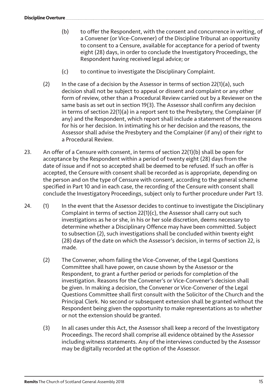- (b) to offer the Respondent, with the consent and concurrence in writing, of a Convener (or Vice-Convener) of the Discipline Tribunal an opportunity to consent to a Censure, available for acceptance for a period of twenty eight (28) days, in order to conclude the Investigatory Proceedings, the Respondent having received legal advice; or
- (c) to continue to investigate the Disciplinary Complaint.
- (2) In the case of a decision by the Assessor in terms of section  $22(1)(a)$ , such decision shall not be subject to appeal or dissent and complaint or any other form of review, other than a Procedural Review carried out by a Reviewer on the same basis as set out in section 19(3). The Assessor shall confirm any decision in terms of section 22(1)(a) in a report sent to the Presbytery, the Complainer (if any) and the Respondent, which report shall include a statement of the reasons for his or her decision. In intimating his or her decision and the reasons, the Assessor shall advise the Presbytery and the Complainer (if any) of their right to a Procedural Review.
- 23. An offer of a Censure with consent, in terms of section 22(1)(b) shall be open for acceptance by the Respondent within a period of twenty eight (28) days from the date of issue and if not so accepted shall be deemed to be refused. If such an offer is accepted, the Censure with consent shall be recorded as is appropriate, depending on the person and on the type of Censure with consent, according to the general scheme specified in Part 10 and in each case, the recording of the Censure with consent shall conclude the Investigatory Proceedings, subject only to further procedure under Part 13.
- 24. (1) In the event that the Assessor decides to continue to investigate the Disciplinary Complaint in terms of section 22(1)(c), the Assessor shall carry out such investigations as he or she, in his or her sole discretion, deems necessary to determine whether a Disciplinary Offence may have been committed. Subject to subsection (2), such investigations shall be concluded within twenty eight (28) days of the date on which the Assessor's decision, in terms of section 22, is made.
	- (2) The Convener, whom failing the Vice-Convener, of the Legal Questions Committee shall have power, on cause shown by the Assessor or the Respondent, to grant a further period or periods for completion of the investigation. Reasons for the Convener's or Vice-Convener's decision shall be given. In making a decision, the Convener or Vice-Convener of the Legal Questions Committee shall first consult with the Solicitor of the Church and the Principal Clerk. No second or subsequent extension shall be granted without the Respondent being given the opportunity to make representations as to whether or not the extension should be granted.
	- (3) In all cases under this Act, the Assessor shall keep a record of the Investigatory Proceedings. The record shall comprise all evidence obtained by the Assessor including witness statements. Any of the interviews conducted by the Assessor may be digitally recorded at the option of the Assessor.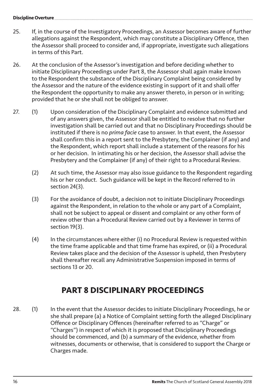**Discipline Overture** 

- 25. If, in the course of the Investigatory Proceedings, an Assessor becomes aware of further allegations against the Respondent, which may constitute a Disciplinary Offence, then the Assessor shall proceed to consider and, if appropriate, investigate such allegations in terms of this Part.
- 26. At the conclusion of the Assessor's investigation and before deciding whether to initiate Disciplinary Proceedings under Part 8, the Assessor shall again make known to the Respondent the substance of the Disciplinary Complaint being considered by the Assessor and the nature of the evidence existing in support of it and shall offer the Respondent the opportunity to make any answer thereto, in person or in writing; provided that he or she shall not be obliged to answer.
- 27. (1) Upon consideration of the Disciplinary Complaint and evidence submitted and of any answers given, the Assessor shall be entitled to resolve that no further investigation shall be carried out and that no Disciplinary Proceedings should be instituted if there is no *prima facie* case to answer. In that event, the Assessor shall confirm this in a report sent to the Presbytery, the Complainer (if any) and the Respondent, which report shall include a statement of the reasons for his or her decision. In intimating his or her decision, the Assessor shall advise the Presbytery and the Complainer (if any) of their right to a Procedural Review.
	- (2) At such time, the Assessor may also issue guidance to the Respondent regarding his or her conduct. Such guidance will be kept in the Record referred to in section 24(3).
	- (3) For the avoidance of doubt, a decision not to initiate Disciplinary Proceedings against the Respondent, in relation to the whole or any part of a Complaint, shall not be subject to appeal or dissent and complaint or any other form of review other than a Procedural Review carried out by a Reviewer in terms of section 19(3).
	- (4) In the circumstances where either (i) no Procedural Review is requested within the time frame applicable and that time frame has expired, or (ii) a Procedural Review takes place and the decision of the Assessor is upheld, then Presbytery shall thereafter recall any Administrative Suspension imposed in terms of sections 13 or 20.

# **PART 8 DISCIPLINARY PROCEEDINGS**

28. (1) In the event that the Assessor decides to initiate Disciplinary Proceedings, he or she shall prepare (a) a Notice of Complaint setting forth the alleged Disciplinary Offence or Disciplinary Offences (hereinafter referred to as "Charge" or "Charges") in respect of which it is proposed that Disciplinary Proceedings should be commenced, and (b) a summary of the evidence, whether from witnesses, documents or otherwise, that is considered to support the Charge or Charges made.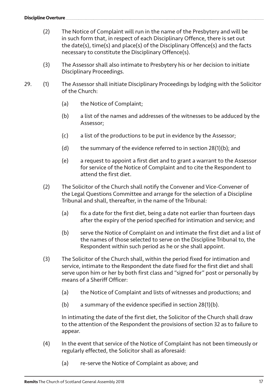- (2) The Notice of Complaint will run in the name of the Presbytery and will be in such form that, in respect of each Disciplinary Offence, there is set out the date(s), time(s) and place(s) of the Disciplinary Offence(s) and the facts necessary to constitute the Disciplinary Offence(s).
- (3) The Assessor shall also intimate to Presbytery his or her decision to initiate Disciplinary Proceedings.
- 29. (1) The Assessor shall initiate Disciplinary Proceedings by lodging with the Solicitor of the Church:
	- (a) the Notice of Complaint;
	- (b) a list of the names and addresses of the witnesses to be adduced by the Assessor;
	- (c) a list of the productions to be put in evidence by the Assessor;
	- (d) the summary of the evidence referred to in section 28(1)(b); and
	- (e) a request to appoint a first diet and to grant a warrant to the Assessor for service of the Notice of Complaint and to cite the Respondent to attend the first diet.
	- (2) The Solicitor of the Church shall notify the Convener and Vice-Convener of the Legal Questions Committee and arrange for the selection of a Discipline Tribunal and shall, thereafter, in the name of the Tribunal:
		- (a) fix a date for the first diet, being a date not earlier than fourteen days after the expiry of the period specified for intimation and service; and
		- (b) serve the Notice of Complaint on and intimate the first diet and a list of the names of those selected to serve on the Discipline Tribunal to, the Respondent within such period as he or she shall appoint.
	- (3) The Solicitor of the Church shall, within the period fixed for intimation and service, intimate to the Respondent the date fixed for the first diet and shall serve upon him or her by both first class and "signed for" post or personally by means of a Sheriff Officer:
		- (a) the Notice of Complaint and lists of witnesses and productions; and
		- (b) a summary of the evidence specified in section 28(1)(b).

In intimating the date of the first diet, the Solicitor of the Church shall draw to the attention of the Respondent the provisions of section 32 as to failure to appear.

- (4) In the event that service of the Notice of Complaint has not been timeously or regularly effected, the Solicitor shall as aforesaid:
	- (a) re-serve the Notice of Complaint as above; and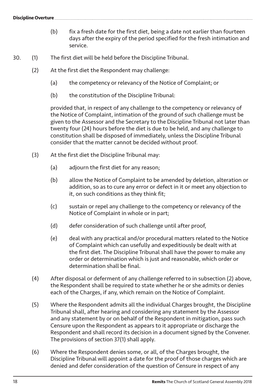- (b) fix a fresh date for the first diet, being a date not earlier than fourteen days after the expiry of the period specified for the fresh intimation and service.
- 30. (1) The first diet will be held before the Discipline Tribunal.
	- (2) At the first diet the Respondent may challenge:
		- (a) the competency or relevancy of the Notice of Complaint; or
		- (b) the constitution of the Discipline Tribunal:

provided that, in respect of any challenge to the competency or relevancy of the Notice of Complaint, intimation of the ground of such challenge must be given to the Assessor and the Secretary to the Discipline Tribunal not later than twenty four (24) hours before the diet is due to be held, and any challenge to constitution shall be disposed of immediately, unless the Discipline Tribunal consider that the matter cannot be decided without proof.

- (3) At the first diet the Discipline Tribunal may:
	- (a) adjourn the first diet for any reason;
	- (b) allow the Notice of Complaint to be amended by deletion, alteration or addition, so as to cure any error or defect in it or meet any objection to it, on such conditions as they think fit;
	- (c) sustain or repel any challenge to the competency or relevancy of the Notice of Complaint in whole or in part;
	- (d) defer consideration of such challenge until after proof.
	- (e) deal with any practical and/or procedural matters related to the Notice of Complaint which can usefully and expeditiously be dealt with at the first diet. The Discipline Tribunal shall have the power to make any order or determination which is just and reasonable, which order or determination shall be final.
- (4) After disposal or deferment of any challenge referred to in subsection (2) above, the Respondent shall be required to state whether he or she admits or denies each of the Charges, if any, which remain on the Notice of Complaint.
- (5) Where the Respondent admits all the individual Charges brought, the Discipline Tribunal shall, after hearing and considering any statement by the Assessor and any statement by or on behalf of the Respondent in mitigation, pass such Censure upon the Respondent as appears to it appropriate or discharge the Respondent and shall record its decision in a document signed by the Convener. The provisions of section 37(1) shall apply.
- (6) Where the Respondent denies some, or all, of the Charges brought, the Discipline Tribunal will appoint a date for the proof of those charges which are denied and defer consideration of the question of Censure in respect of any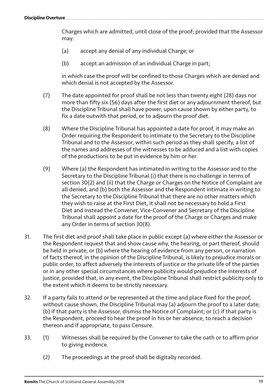Charges which are admitted, until close of the proof; provided that the Assessor may:

- (a) accept any denial of any individual Charge; or
- (b) accept an admission of an individual Charge in part;

in which case the proof will be confined to those Charges which are denied and which denial is not accepted by the Assessor.

- (7) The date appointed for proof shall be not less than twenty eight (28) days nor more than fifty six (56) days after the first diet or any adjournment thereof, but the Discipline Tribunal shall have power, upon cause shown by either party, to fix a date outwith that period, or to adjourn the proof diet.
- (8) Where the Discipline Tribunal has appointed a date for proof, it may make an Order requiring the Respondent to intimate to the Secretary to the Discipline Tribunal and to the Assessor, within such period as they shall specify, a list of the names and addresses of the witnesses to be adduced and a list with copies of the productions to be put in evidence by him or her.
- (9) Where (a) the Respondent has intimated in writing to the Assessor and to the Secretary to the Discipline Tribunal (i) that there is no challenge in terms of section 30(2) and (ii) that the Charge or Charges on the Notice of Complaint are all denied, and (b) both the Assessor and the Respondent intimate in writing to the Secretary to the Discipline Tribunal that there are no other matters which they wish to raise at the First Diet, it shall not be necessary to hold a First Diet and instead the Convener, Vice-Convener and Secretary of the Discipline Tribunal shall appoint a date for the proof of the Charge or Charges and make any Order in terms of section 30(8).
- 31. The first diet and proof shall take place in public except (a) where either the Assessor or the Respondent request that and show cause why, the hearing, or part thereof, should be held in private; or (b) where the hearing of evidence from any person, or narration of facts thereof, in the opinion of the Discipline Tribunal, is likely to prejudice morals or public order, to affect adversely the interests of justice or the private life of the parties or in any other special circumstances where publicity would prejudice the interests of justice, provided that, in any event, the Discipline Tribunal shall restrict publicity only to the extent which it deems to be strictly necessary.
- 32. If a party fails to attend or be represented at the time and place fixed for the proof, without cause shown, the Discipline Tribunal may (a) adjourn the proof to a later date; (b) if that party is the Assessor, dismiss the Notice of Complaint; or (c) if that party is the Respondent, proceed to hear the proof in his or her absence, to reach a decision thereon and if appropriate, to pass Censure.
- 33. (1) Witnesses shall be required by the Convener to take the oath or to affirm prior to giving evidence.
	- (2) The proceedings at the proof shall be digitally recorded.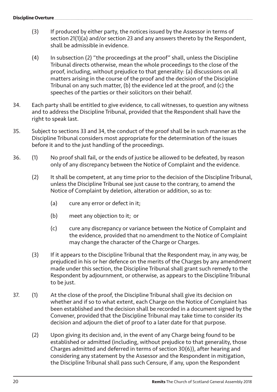- (3) If produced by either party, the notices issued by the Assessor in terms of section 21(1)(a) and/or section 23 and any answers thereto by the Respondent, shall be admissible in evidence.
- (4) In subsection (2) "the proceedings at the proof" shall, unless the Discipline Tribunal directs otherwise, mean the whole proceedings to the close of the proof, including, without prejudice to that generality: (a) discussions on all matters arising in the course of the proof and the decision of the Discipline Tribunal on any such matter, (b) the evidence led at the proof, and (c) the speeches of the parties or their solicitors on their behalf.
- 34. Each party shall be entitled to give evidence, to call witnesses, to question any witness and to address the Discipline Tribunal, provided that the Respondent shall have the right to speak last.
- 35. Subject to sections 33 and 34, the conduct of the proof shall be in such manner as the Discipline Tribunal considers most appropriate for the determination of the issues before it and to the just handling of the proceedings.
- 36. (1) No proof shall fail, or the ends of justice be allowed to be defeated, by reason only of any discrepancy between the Notice of Complaint and the evidence.
	- (2) It shall be competent, at any time prior to the decision of the Discipline Tribunal, unless the Discipline Tribunal see just cause to the contrary, to amend the Notice of Complaint by deletion, alteration or addition, so as to:
		- (a) cure any error or defect in it;
		- (b) meet any objection to it; or
		- (c) cure any discrepancy or variance between the Notice of Complaint and the evidence, provided that no amendment to the Notice of Complaint may change the character of the Charge or Charges.
	- (3) If it appears to the Discipline Tribunal that the Respondent may, in any way, be prejudiced in his or her defence on the merits of the Charges by any amendment made under this section, the Discipline Tribunal shall grant such remedy to the Respondent by adjournment, or otherwise, as appears to the Discipline Tribunal to be just.
- 37. (1) At the close of the proof, the Discipline Tribunal shall give its decision on whether and if so to what extent, each Charge on the Notice of Complaint has been established and the decision shall be recorded in a document signed by the Convener, provided that the Discipline Tribunal may take time to consider its decision and adjourn the diet of proof to a later date for that purpose.
	- (2) Upon giving its decision and, in the event of any Charge being found to be established or admitted (including, without prejudice to that generality, those Charges admitted and deferred in terms of section 30(6)), after hearing and considering any statement by the Assessor and the Respondent in mitigation, the Discipline Tribunal shall pass such Censure, if any, upon the Respondent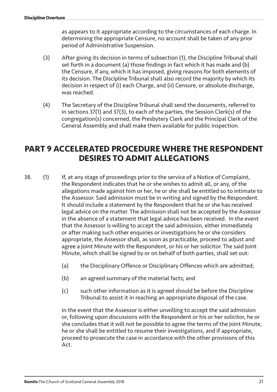as appears to it appropriate according to the circumstances of each charge. In determining the appropriate Censure, no account shall be taken of any prior period of Administrative Suspension.

- (3) After giving its decision in terms of subsection (1), the Discipline Tribunal shall set forth in a document (a) those findings in fact which it has made and (b) the Censure, if any, which it has imposed, giving reasons for both elements of its decision. The Discipline Tribunal shall also record the majority by which its decision in respect of (i) each Charge, and (ii) Censure, or absolute discharge, was reached.
- (4) The Secretary of the Discipline Tribunal shall send the documents, referred to in sections 37(1) and 37(3), to each of the parties, the Session Clerk(s) of the congregation(s) concerned, the Presbytery Clerk and the Principal Clerk of the General Assembly and shall make them available for public inspection.

## **PART 9 ACCELERATED PROCEDURE WHERE THE RESPONDENT DESIRES TO ADMIT ALLEGATIONS**

- 38. (1) If, at any stage of proceedings prior to the service of a Notice of Complaint, the Respondent indicates that he or she wishes to admit all, or any, of the allegations made against him or her, he or she shall be entitled so to intimate to the Assessor. Said admission must be in writing and signed by the Respondent. It should include a statement by the Respondent that he or she has received legal advice on the matter. The admission shall not be accepted by the Assessor in the absence of a statement that legal advice has been received. In the event that the Assessor is willing to accept the said admission, either immediately or after making such other enquiries or investigations he or she considers appropriate, the Assessor shall, as soon as practicable, proceed to adjust and agree a Joint Minute with the Respondent, or his or her solicitor. The said Joint Minute, which shall be signed by or on behalf of both parties, shall set out:
	- (a) the Disciplinary Offence or Disciplinary Offences which are admitted;
	- (b) an agreed summary of the material facts; and
	- (c) such other information as it is agreed should be before the Discipline Tribunal to assist it in reaching an appropriate disposal of the case.

In the event that the Assessor is either unwilling to accept the said admission or, following upon discussions with the Respondent or his or her solicitor, he or she concludes that it will not be possible to agree the terms of the Joint Minute, he or she shall be entitled to resume their investigations, and if appropriate, proceed to prosecute the case in accordance with the other provisions of this Act.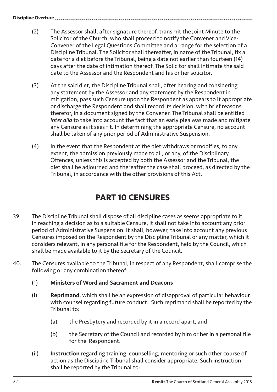#### **Discipline Overture**

- (2) The Assessor shall, after signature thereof, transmit the Joint Minute to the Solicitor of the Church, who shall proceed to notify the Convener and Vice-Convener of the Legal Questions Committee and arrange for the selection of a Discipline Tribunal. The Solicitor shall thereafter, in name of the Tribunal, fix a date for a diet before the Tribunal, being a date not earlier than fourteen (14) days after the date of intimation thereof. The Solicitor shall intimate the said date to the Assessor and the Respondent and his or her solicitor.
- (3) At the said diet, the Discipline Tribunal shall, after hearing and considering any statement by the Assessor and any statement by the Respondent in mitigation, pass such Censure upon the Respondent as appears to it appropriate or discharge the Respondent and shall record its decision, with brief reasons therefor, in a document signed by the Convener. The Tribunal shall be entitled *inter alia* to take into account the fact that an early plea was made and mitigate any Censure as it sees fit. In determining the appropriate Censure, no account shall be taken of any prior period of Administrative Suspension.
- (4) In the event that the Respondent at the diet withdraws or modifies, to any extent, the admission previously made to all, or any, of the Disciplinary Offences, unless this is accepted by both the Assessor and the Tribunal, the diet shall be adjourned and thereafter the case shall proceed, as directed by the Tribunal, in accordance with the other provisions of this Act.

# **PART 10 CENSURES**

- 39. The Discipline Tribunal shall dispose of all discipline cases as seems appropriate to it. In reaching a decision as to a suitable Censure, it shall not take into account any prior period of Administrative Suspension. It shall, however, take into account any previous Censures imposed on the Respondent by the Discipline Tribunal or any matter, which it considers relevant, in any personal file for the Respondent, held by the Council, which shall be made available to it by the Secretary of the Council.
- 40. The Censures available to the Tribunal, in respect of any Respondent, shall comprise the following or any combination thereof:
	- (1) Ministers of Word and Sacrament and Deacons
	- (i) Reprimand, which shall be an expression of disapproval of particular behaviour with counsel regarding future conduct. Such reprimand shall be reported by the Tribunal to:
		- (a) the Presbytery and recorded by it in a record apart, and
		- (b) the Secretary of the Council and recorded by him or her in a personal file for the Respondent.
	- (ii) Instruction regarding training, counselling, mentoring or such other course of action as the Discipline Tribunal shall consider appropriate. Such instruction shall be reported by the Tribunal to: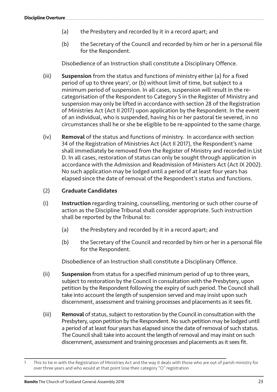- (a) the Presbytery and recorded by it in a record apart; and
- (b) the Secretary of the Council and recorded by him or her in a personal file for the Respondent.

Disobedience of an Instruction shall constitute a Disciplinary Offence.

- (iii) Suspension from the status and functions of ministry either (a) for a fixed period of up to three years<sup>1</sup>, or (b) without limit of time, but subject to a minimum period of suspension. In all cases, suspension will result in the recategorisation of the Respondent to Category S in the Register of Ministry and suspension may only be lifted in accordance with section 28 of the Registration of Ministries Act (Act II 2017) upon application by the Respondent. In the event of an individual, who is suspended, having his or her pastoral tie severed, in no circumstances shall he or she be eligible to be re-appointed to the same charge.
- (iv) Removal of the status and functions of ministry. In accordance with section 34 of the Registration of Ministries Act (Act II 2017), the Respondent's name shall immediately be removed from the Register of Ministry and recorded in List D. In all cases, restoration of status can only be sought through application in accordance with the Admission and Readmission of Ministers Act (Act IX 2002). No such application may be lodged until a period of at least four years has elapsed since the date of removal of the Respondent's status and functions.

#### (2) Graduate Candidates

- (i) Instruction regarding training, counselling, mentoring or such other course of action as the Discipline Tribunal shall consider appropriate. Such instruction shall be reported by the Tribunal to:
	- (a) the Presbytery and recorded by it in a record apart; and
	- (b) the Secretary of the Council and recorded by him or her in a personal file for the Respondent.

Disobedience of an Instruction shall constitute a Disciplinary Offence.

- (ii) Suspension from status for a specified minimum period of up to three years, subject to restoration by the Council in consultation with the Presbytery, upon petition by the Respondent following the expiry of such period. The Council shall take into account the length of suspension served and may insist upon such discernment, assessment and training processes and placements as it sees fit.
- (iii) Removal of status, subject to restoration by the Council in consultation with the Presbytery, upon petition by the Respondent. No such petition may be lodged until a period of at least four years has elapsed since the date of removal of such status. The Council shall take into account the length of removal and may insist on such discernment, assessment and training processes and placements as it sees fit.

This to tie in with the Registration of Ministries Act and the way it deals with those who are out of parish ministry for over three years and who would at that point lose their category "O" registration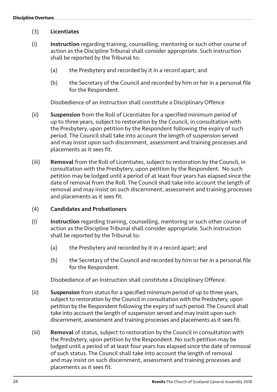- (3) Licentiates
- (i) Instruction regarding training, counselling, mentoring or such other course of action as the Discipline Tribunal shall consider appropriate. Such instruction shall be reported by the Tribunal to:
	- (a) the Presbytery and recorded by it in a record apart; and
	- (b) the Secretary of the Council and recorded by him or her in a personal file for the Respondent.

Disobedience of an Instruction shall constitute a Disciplinary Offence

- (ii) Suspension from the Roll of Licentiates for a specified minimum period of up to three years, subject to restoration by the Council, in consultation with the Presbytery, upon petition by the Respondent following the expiry of such period. The Council shall take into account the length of suspension served and may insist upon such discernment, assessment and training processes and placements as it sees fit.
- (iii) Removal from the Roll of Licentiates, subject to restoration by the Council, in consultation with the Presbytery, upon petition by the Respondent. No such petition may be lodged until a period of at least four years has elapsed since the date of removal from the Roll. The Council shall take into account the length of removal and may insist on such discernment, assessment and training processes and placements as it sees fit.
- (4) Candidates and Probationers
- (i) Instruction regarding training, counselling, mentoring or such other course of action as the Discipline Tribunal shall consider appropriate. Such instruction shall be reported by the Tribunal to:
	- (a) the Presbytery and recorded by it in a record apart; and
	- (b) the Secretary of the Council and recorded by him or her in a personal file for the Respondent.

Disobedience of an Instruction shall constitute a Disciplinary Offence.

- (ii) Suspension from status for a specified minimum period of up to three years, subject to restoration by the Council in consultation with the Presbytery, upon petition by the Respondent following the expiry of such period. The Council shall take into account the length of suspension served and may insist upon such discernment, assessment and training processes and placements as it sees fit.
- (iii) Removal of status, subject to restoration by the Council in consultation with the Presbytery, upon petition by the Respondent. No such petition may be lodged until a period of at least four years has elapsed since the date of removal of such status. The Council shall take into account the length of removal and may insist on such discernment, assessment and training processes and placements as it sees fit.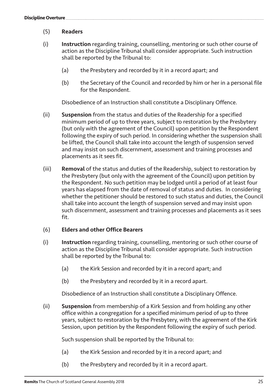## (5) Readers

- (i) Instruction regarding training, counselling, mentoring or such other course of action as the Discipline Tribunal shall consider appropriate. Such instruction shall be reported by the Tribunal to:
	- (a) the Presbytery and recorded by it in a record apart; and
	- (b) the Secretary of the Council and recorded by him or her in a personal file for the Respondent.

Disobedience of an Instruction shall constitute a Disciplinary Offence.

- (ii) Suspension from the status and duties of the Readership for a specified minimum period of up to three years, subject to restoration by the Presbytery (but only with the agreement of the Council) upon petition by the Respondent following the expiry of such period. In considering whether the suspension shall be lifted, the Council shall take into account the length of suspension served and may insist on such discernment, assessment and training processes and placements as it sees fit.
- (iii) Removal of the status and duties of the Readership, subject to restoration by the Presbytery (but only with the agreement of the Council) upon petition by the Respondent. No such petition may be lodged until a period of at least four years has elapsed from the date of removal of status and duties. In considering whether the petitioner should be restored to such status and duties, the Council shall take into account the length of suspension served and may insist upon such discernment, assessment and training processes and placements as it sees fit.

#### (6) Elders and other Office Bearers

- (i) Instruction regarding training, counselling, mentoring or such other course of action as the Discipline Tribunal shall consider appropriate. Such instruction shall be reported by the Tribunal to:
	- (a) the Kirk Session and recorded by it in a record apart; and
	- (b) the Presbytery and recorded by it in a record apart.

Disobedience of an Instruction shall constitute a Disciplinary Offence.

(ii) Suspension from membership of a Kirk Session and from holding any other office within a congregation for a specified minimum period of up to three years, subject to restoration by the Presbytery, with the agreement of the Kirk Session, upon petition by the Respondent following the expiry of such period.

Such suspension shall be reported by the Tribunal to:

- (a) the Kirk Session and recorded by it in a record apart; and
- (b) the Presbytery and recorded by it in a record apart.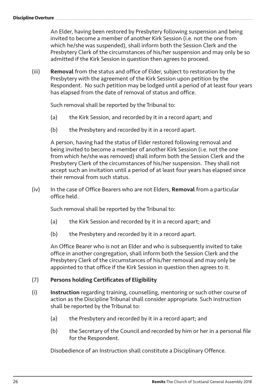An Elder, having been restored by Presbytery following suspension and being invited to become a member of another Kirk Session (i.e. not the one from which he/she was suspended), shall inform both the Session Clerk and the Presbytery Clerk of the circumstances of his/her suspension and may only be so admitted if the Kirk Session in question then agrees to proceed.

(iii) Removal from the status and office of Elder, subject to restoration by the Presbytery with the agreement of the Kirk Session upon petition by the Respondent. No such petition may be lodged until a period of at least four years has elapsed from the date of removal of status and office.

Such removal shall be reported by the Tribunal to:

- (a) the Kirk Session, and recorded by it in a record apart; and
- (b) the Presbytery and recorded by it in a record apart.

A person, having had the status of Elder restored following removal and being invited to become a member of another Kirk Session (i.e. not the one from which he/she was removed) shall inform both the Session Clerk and the Presbytery Clerk of the circumstances of his/her suspension. They shall not accept such an invitation until a period of at least four years has elapsed since their removal from such status.

(iv) In the case of Office Bearers who are not Elders, **Removal** from a particular office held.

Such removal shall be reported by the Tribunal to:

- (a) the Kirk Session and recorded by it in a record apart; and
- (b) the Presbytery and recorded by it in a record apart.

An Office Bearer who is not an Elder and who is subsequently invited to take office in another congregation, shall inform both the Session Clerk and the Presbytery Clerk of the circumstances of his/her removal and may only be appointed to that office if the Kirk Session in question then agrees to it.

## (7) Persons holding Certificates of Eligibility

- (i) Instruction regarding training, counselling, mentoring or such other course of action as the Discipline Tribunal shall consider appropriate. Such instruction shall be reported by the Tribunal to:
	- (a) the Presbytery and recorded by it in a record apart; and
	- (b) the Secretary of the Council and recorded by him or her in a personal file for the Respondent.

Disobedience of an Instruction shall constitute a Disciplinary Offence.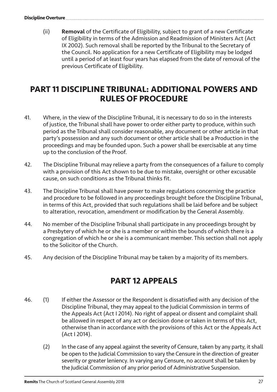(ii) Removal of the Certificate of Eligibility, subject to grant of a new Certificate of Eligibility in terms of the Admission and Readmission of Ministers Act (Act IX 2002). Such removal shall be reported by the Tribunal to the Secretary of the Council. No application for a new Certificate of Eligibility may be lodged until a period of at least four years has elapsed from the date of removal of the previous Certificate of Eligibility.

## **PART 11 DISCIPLINE TRIBUNAL: ADDITIONAL POWERS AND RULES OF PROCEDURE**

- 41. Where, in the view of the Discipline Tribunal, it is necessary to do so in the interests of justice, the Tribunal shall have power to order either party to produce, within such period as the Tribunal shall consider reasonable, any document or other article in that party's possession and any such document or other article shall be a Production in the proceedings and may be founded upon. Such a power shall be exercisable at any time up to the conclusion of the Proof.
- 42. The Discipline Tribunal may relieve a party from the consequences of a failure to comply with a provision of this Act shown to be due to mistake, oversight or other excusable cause, on such conditions as the Tribunal thinks fit.
- 43. The Discipline Tribunal shall have power to make regulations concerning the practice and procedure to be followed in any proceedings brought before the Discipline Tribunal, in terms of this Act, provided that such regulations shall be laid before and be subject to alteration, revocation, amendment or modification by the General Assembly.
- 44. No member of the Discipline Tribunal shall participate in any proceedings brought by a Presbytery of which he or she is a member or within the bounds of which there is a congregation of which he or she is a communicant member. This section shall not apply to the Solicitor of the Church.
- 45. Any decision of the Discipline Tribunal may be taken by a majority of its members.

# **PART 12 APPEALS**

- 46. (1) If either the Assessor or the Respondent is dissatisfied with any decision of the Discipline Tribunal, they may appeal to the Judicial Commission in terms of the Appeals Act (Act I 2014). No right of appeal or dissent and complaint shall be allowed in respect of any act or decision done or taken in terms of this Act, otherwise than in accordance with the provisions of this Act or the Appeals Act (Act I 2014).
	- (2) In the case of any appeal against the severity of Censure, taken by any party, it shall be open to the Judicial Commission to vary the Censure in the direction of greater severity or greater leniency. In varying any Censure, no account shall be taken by the Judicial Commission of any prior period of Administrative Suspension.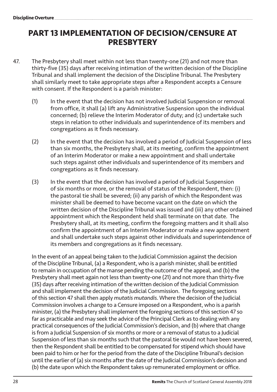## **PART 13 IMPLEMENTATION OF DECISION/CENSURE AT PRESBYTERY**

- 47. The Presbytery shall meet within not less than twenty-one (21) and not more than thirty-five (35) days after receiving intimation of the written decision of the Discipline Tribunal and shall implement the decision of the Discipline Tribunal. The Presbytery shall similarly meet to take appropriate steps after a Respondent accepts a Censure with consent. If the Respondent is a parish minister:
	- (1) In the event that the decision has not involved Judicial Suspension or removal from office, it shall (a) lift any Administrative Suspension upon the individual concerned; (b) relieve the Interim Moderator of duty; and (c) undertake such steps in relation to other individuals and superintendence of its members and congregations as it finds necessary.
	- (2) In the event that the decision has involved a period of Judicial Suspension of less than six months, the Presbytery shall, at its meeting, confirm the appointment of an Interim Moderator or make a new appointment and shall undertake such steps against other individuals and superintendence of its members and congregations as it finds necessary.
	- (3) In the event that the decision has involved a period of Judicial Suspension of six months or more, or the removal of status of the Respondent, then: (i) the pastoral tie shall be severed; (ii) any parish of which the Respondent was minister shall be deemed to have become vacant on the date on which the written decision of the Discipline Tribunal was issued and (iii) any other ordained appointment which the Respondent held shall terminate on that date. The Presbytery shall, at its meeting, confirm the foregoing matters and it shall also confirm the appointment of an Interim Moderator or make a new appointment and shall undertake such steps against other individuals and superintendence of its members and congregations as it finds necessary.

In the event of an appeal being taken to the Judicial Commission against the decision of the Discipline Tribunal, (a) a Respondent, who is a parish minister, shall be entitled to remain in occupation of the manse pending the outcome of the appeal, and (b) the Presbytery shall meet again not less than twenty-one (21) and not more than thirty-five (35) days after receiving intimation of the written decision of the Judicial Commission and shall implement the decision of the Judicial Commission. The foregoing sections of this section 47 shall then apply *mutatis mutandis*. Where the decision of the Judicial Commission involves a change to a Censure imposed on a Respondent, who is a parish minister, (a) the Presbytery shall implement the foregoing sections of this section 47 so far as practicable and may seek the advice of the Principal Clerk as to dealing with any practical consequences of the Judicial Commission's decision, and (b) where that change is from a Judicial Suspension of six months or more or a removal of status to a Judicial Suspension of less than six months such that the pastoral tie would not have been severed, then the Respondent shall be entitled to be compensated for stipend which should have been paid to him or her for the period from the date of the Discipline Tribunal's decision until the earlier of (a) six months after the date of the Judicial Commission's decision and (b) the date upon which the Respondent takes up remunerated employment or office.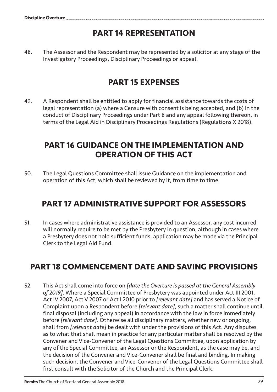# **PART 14 REPRESENTATION**

48. The Assessor and the Respondent may be represented by a solicitor at any stage of the Investigatory Proceedings, Disciplinary Proceedings or appeal.

# **PART 15 EXPENSES**

49. A Respondent shall be entitled to apply for financial assistance towards the costs of legal representation (a) where a Censure with consent is being accepted, and (b) in the conduct of Disciplinary Proceedings under Part 8 and any appeal following thereon, in terms of the Legal Aid in Disciplinary Proceedings Regulations (Regulations X 2018).

## **PART 16 GUIDANCE ON THE IMPLEMENTATION AND OPERATION OF THIS ACT**

50. The Legal Questions Committee shall issue Guidance on the implementation and operation of this Act, which shall be reviewed by it, from time to time.

# **PART 17 ADMINISTRATIVE SUPPORT FOR ASSESSORS**

51. In cases where administrative assistance is provided to an Assessor, any cost incurred will normally require to be met by the Presbytery in question, although in cases where a Presbytery does not hold sufficient funds, application may be made via the Principal Clerk to the Legal Aid Fund.

# **PART 18 COMMENCEMENT DATE AND SAVING PROVISIONS**

52. This Act shall come into force on *[date the Overture is passed at the General Assembly of 2019]*. Where a Special Committee of Presbytery was appointed under Act III 2001, Act IV 2007, Act V 2007 or Act I 2010 prior to *[relevant date]* and has served a Notice of Complaint upon a Respondent before *[relevant date]*, such a matter shall continue until final disposal (including any appeal) in accordance with the law in force immediately before *[relevant date]*. Otherwise all disciplinary matters, whether new or ongoing, shall from *[relevant date]* be dealt with under the provisions of this Act. Any disputes as to what that shall mean in practice for any particular matter shall be resolved by the Convener and Vice-Convener of the Legal Questions Committee, upon application by any of the Special Committee, an Assessor or the Respondent, as the case may be, and the decision of the Convener and Vice-Convener shall be final and binding. In making such decision, the Convener and Vice-Convener of the Legal Questions Committee shall first consult with the Solicitor of the Church and the Principal Clerk.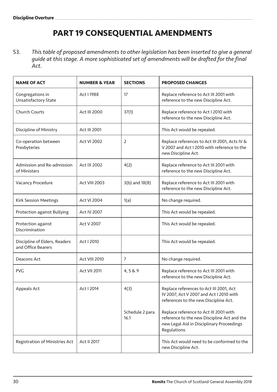# **PART 19 CONSEQUENTIAL AMENDMENTS**

53. *This table of proposed amendments to other legislation has been inserted to give a general guide at this stage. A more sophisticated set of amendments will be drafted for the final Act.*

| <b>NAME OF ACT</b>                                  | <b>NUMBER &amp; YEAR</b> | <b>SECTIONS</b>         | <b>PROPOSED CHANGES</b>                                                                                                                            |
|-----------------------------------------------------|--------------------------|-------------------------|----------------------------------------------------------------------------------------------------------------------------------------------------|
| Congregations in<br>Unsatisfactory State            | Act I 1988               | 17                      | Replace reference to Act III 2001 with<br>reference to the new Discipline Act.                                                                     |
| <b>Church Courts</b>                                | <b>Act III 2000</b>      | 37(1)                   | Replace reference to Act I 2010 with<br>reference to the new Discipline Act.                                                                       |
| Discipline of Ministry                              | Act III 2001             |                         | This Act would be repealed.                                                                                                                        |
| Co-operation between<br>Presbyteries                | <b>Act VI 2002</b>       | $\overline{2}$          | Replace references to Act III 2001, Acts IV &<br>V 2007 and Act I 2010 with reference to the<br>new Discipline Act.                                |
| Admission and Re-admission<br>of Ministers          | Act IX 2002              | 4(2)                    | Replace reference to Act III 2001 with<br>reference to the new Discipline Act.                                                                     |
| Vacancy Procedure                                   | Act VIII 2003            | $3(b)$ and $18(8)$      | Replace reference to Act III 2001 with<br>reference to the new Discipline Act.                                                                     |
| <b>Kirk Session Meetings</b>                        | <b>Act VI 2004</b>       | 1(a)                    | No change required.                                                                                                                                |
| Protection against Bullying                         | <b>Act IV 2007</b>       |                         | This Act would be repealed.                                                                                                                        |
| Protection against<br>Discrimination                | Act V 2007               |                         | This Act would be repealed.                                                                                                                        |
| Discipline of Elders, Readers<br>and Office Bearers | Act I 2010               |                         | This Act would be repealed.                                                                                                                        |
| Deacons Act                                         | Act VIII 2010            | $\overline{7}$          | No change required.                                                                                                                                |
| <b>PVG</b>                                          | Act VII 2011             | 4,5&9                   | Replace reference to Act III 2001 with<br>reference to the new Discipline Act.                                                                     |
| Appeals Act                                         | Act I 2014               | 4(3)                    | Replace references to Act III 2001, Act<br>IV 2007, Act V 2007 and Act I 2010 with<br>references to the new Discipline Act.                        |
|                                                     |                          | Schedule 2 para<br>16.1 | Replace reference to Act III 2001 with<br>reference to the new Discipline Act and the<br>new Legal Aid in Disciplinary Proceedings<br>Regulations. |
| Registration of Ministries Act                      | Act II 2017              |                         | This Act would need to be conformed to the<br>new Discipline Act.                                                                                  |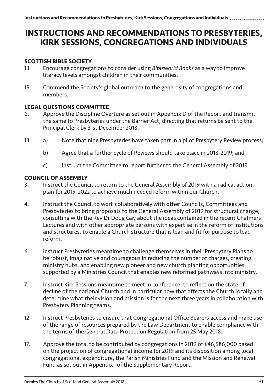## **INSTRUCTIONS AND RECOMMENDATIONS TO PRESBYTERIES, KIRK SESSIONS, CONGREGATIONS AND INDIVIDUALS**

# **SCOTTISH BIBLE SOCIETY**<br>13 **Encourage congress**

- 13. Encourage congregations to consider using *Bibleworld Books* as a way to improve literacy levels amongst children in their communities.
- 15. Commend the Society's global outreach to the generosity of congregations and members.

#### **LEGAL QUESTIONS COMMITTEE**

- 6. Approve the Discipline Overture as set out in Appendix D of the Report and transmit the same to Presbyteries under the Barrier Act, directing that returns be sent to the Principal Clerk by 31st December 2018.
- 13. a) Note that nine Presbyteries have taken part in a pilot Presbytery Review process;
	- b) Agree that a further cycle of Reviews should take place in 2018-2019; and
	- c) Instruct the Committee to report further to the General Assembly of 2019.

# **COUNCIL OF ASSEMBLY**<br>3. Instruct the Cound

- Instruct the Council to return to the General Assembly of 2019 with a radical action plan for 2019-2022 to achieve much needed reform within our Church.
- 4. Instruct the Council to work collaboratively with other Councils, Committees and Presbyteries to bring proposals to the General Assembly of 2019 for structural change, consulting with the Rev Dr Doug Gay about the ideas contained in the recent Chalmers Lectures and with other appropriate persons with expertise in the reform of institutions and structures, to enable a Church structure that is lean and fit for purpose to lead reform.
- 6. Instruct Presbyteries meantime to challenge themselves in their Presbytery Plans to be robust, imaginative and courageous in reducing the number of charges, creating ministry hubs, and enabling new pioneer and new church planting opportunities, supported by a Ministries Council that enables new reformed pathways into ministry.
- 7. Instruct Kirk Sessions meantime to meet in conference, to reflect on the state of decline of the national Church and in particular how that affects the Church locally and determine what their vision and mission is for the next three years in collaboration with Presbytery Planning teams.
- 12. Instruct Presbyteries to ensure that Congregational Office Bearers access and make use of the range of resources prepared by the Law Department to enable compliance with the terms of the General Data Protection Regulation from 25 May 2018.
- 17. Approve the total to be contributed by congregations in 2019 of £46,586,000 based on the projection of congregational income for 2019 and its disposition among local congregational expenditure, the Parish Ministries Fund and the Mission and Renewal Fund as set out in Appendix I of the Supplementary Report.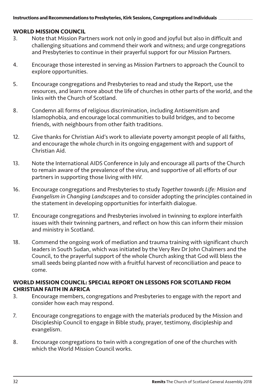# **WORLD MISSION COUNCIL**<br>3. Note that Mission Par

- 3. Note that Mission Partners work not only in good and joyful but also in difficult and challenging situations and commend their work and witness; and urge congregations and Presbyteries to continue in their prayerful support for our Mission Partners.
- 4. Encourage those interested in serving as Mission Partners to approach the Council to explore opportunities.
- 5. Encourage congregations and Presbyteries to read and study the Report, use the resources, and learn more about the life of churches in other parts of the world, and the links with the Church of Scotland.
- 8. Condemn all forms of religious discrimination, including Antisemitism and Islamophobia, and encourage local communities to build bridges, and to become friends, with neighbours from other faith traditions.
- 12. Give thanks for Christian Aid's work to alleviate poverty amongst people of all faiths, and encourage the whole church in its ongoing engagement with and support of Christian Aid.
- 13. Note the International AIDS Conference in July and encourage all parts of the Church to remain aware of the prevalence of the virus, and supportive of all efforts of our partners in supporting those living with HIV.
- 16. Encourage congregations and Presbyteries to study *Together towards Life: Mission and Evangelism in Changing Landscapes* and to consider adopting the principles contained in the statement in developing opportunities for interfaith dialogue.
- 17. Encourage congregations and Presbyteries involved in twinning to explore interfaith issues with their twinning partners, and reflect on how this can inform their mission and ministry in Scotland.
- 18. Commend the ongoing work of mediation and trauma training with significant church leaders in South Sudan, which was initiated by the Very Rev Dr John Chalmers and the Council, to the prayerful support of the whole Church asking that God will bless the small seeds being planted now with a fruitful harvest of reconciliation and peace to come.

#### **WORLD MISSION COUNCIL: SPECIAL REPORT ON LESSONS FOR SCOTLAND FROM CHRISTIAN FAITH IN AFRICA**

- 3. Encourage members, congregations and Presbyteries to engage with the report and consider how each may respond.
- 7. Encourage congregations to engage with the materials produced by the Mission and Discipleship Council to engage in Bible study, prayer, testimony, discipleship and evangelism.
- 8. Encourage congregations to twin with a congregation of one of the churches with which the World Mission Council works.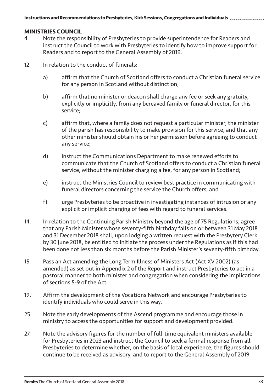# **MINISTRIES COUNCIL**<br>4 Note the respon

- Note the responsibility of Presbyteries to provide superintendence for Readers and instruct the Council to work with Presbyteries to identify how to improve support for Readers and to report to the General Assembly of 2019.
- 12. In relation to the conduct of funerals:
	- a) affirm that the Church of Scotland offers to conduct a Christian funeral service for any person in Scotland without distinction;
	- b) affirm that no minister or deacon shall charge any fee or seek any gratuity, explicitly or implicitly, from any bereaved family or funeral director, for this service;
	- c) affirm that, where a family does not request a particular minister, the minister of the parish has responsibility to make provision for this service, and that any other minister should obtain his or her permission before agreeing to conduct any service;
	- d) instruct the Communications Department to make renewed efforts to communicate that the Church of Scotland offers to conduct a Christian funeral service, without the minister charging a fee, for any person in Scotland;
	- e) instruct the Ministries Council to review best practice in communicating with funeral directors concerning the service the Church offers; and
	- f) urge Presbyteries to be proactive in investigating instances of intrusion or any explicit or implicit charging of fees with regard to funeral services.
- 14. In relation to the Continuing Parish Ministry beyond the age of 75 Regulations, agree that any Parish Minister whose seventy-fifth birthday falls on or between 31 May 2018 and 31 December 2018 shall, upon lodging a written request with the Presbytery Clerk by 30 June 2018, be entitled to initiate the process under the Regulations as if this had been done not less than six months before the Parish Minister's seventy-fifth birthday.
- 15. Pass an Act amending the Long Term Illness of Ministers Act (Act XV 2002) (as amended) as set out in Appendix 2 of the Report and instruct Presbyteries to act in a pastoral manner to both minister and congregation when considering the implications of sections 5-9 of the Act.
- 19. Affirm the development of the Vocations Network and encourage Presbyteries to identify individuals who could serve in this way.
- 25. Note the early developments of the Ascend programme and encourage those in ministry to access the opportunities for support and development provided.
- 27. Note the advisory figures for the number of full-time equivalent ministers available for Presbyteries in 2023 and instruct the Council to seek a formal response from all Presbyteries to determine whether, on the basis of local experience, the figures should continue to be received as advisory, and to report to the General Assembly of 2019.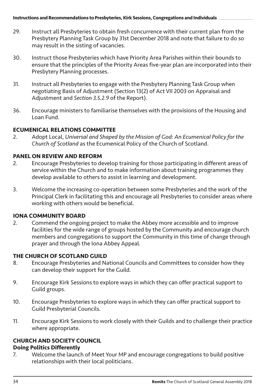- 29. Instruct all Presbyteries to obtain fresh concurrence with their current plan from the Presbytery Planning Task Group by 31st December 2018 and note that failure to do so may result in the sisting of vacancies.
- 30. Instruct those Presbyteries which have Priority Area Parishes within their bounds to ensure that the principles of the Priority Areas five-year plan are incorporated into their Presbytery Planning processes.
- 31. Instruct all Presbyteries to engage with the Presbytery Planning Task Group when negotiating Basis of Adjustment (Section 13(2) of Act VII 2003 on Appraisal and Adjustment and *Section 3.5.2.9* of the Report).
- 36. Encourage ministers to familiarise themselves with the provisions of the Housing and Loan Fund.

# **ECUMENICAL RELATIONS COMMITTEE**<br>2. Adopt Local, Universal and Shaped

2. Adopt Local, *Universal and Shaped by the Mission of God: An Ecumenical Policy for the Church of Scotland* as the Ecumenical Policy of the Church of Scotland.

## **PANEL ON REVIEW AND REFORM**

- 2. Encourage Presbyteries to develop training for those participating in different areas of service within the Church and to make information about training programmes they develop available to others to assist in learning and development.
- 3. Welcome the increasing co-operation between some Presbyteries and the work of the Principal Clerk in facilitating this and encourage all Presbyteries to consider areas where working with others would be beneficial.

# **IONA COMMUNITY BOARD**<br>2. Commend the ongoin

2. Commend the ongoing project to make the Abbey more accessible and to improve facilities for the wide range of groups hosted by the Community and encourage church members and congregations to support the Community in this time of change through prayer and through the Iona Abbey Appeal.

## **THE CHURCH OF SCOTLAND GUILD**

- 8. Encourage Presbyteries and National Councils and Committees to consider how they can develop their support for the Guild.
- 9. Encourage Kirk Sessions to explore ways in which they can offer practical support to Guild groups.
- 10. Encourage Presbyteries to explore ways in which they can offer practical support to Guild Presbyterial Councils.
- 11. Encourage Kirk Sessions to work closely with their Guilds and to challenge their practice where appropriate.

## **CHURCH AND SOCIETY COUNCIL**

#### **Doing Politics Differently**

7. Welcome the launch of Meet Your MP and encourage congregations to build positive relationships with their local politicians.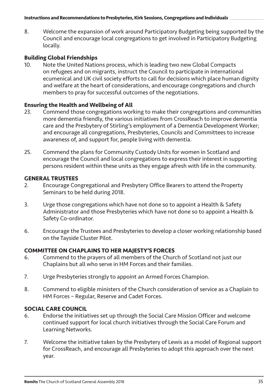8. Welcome the expansion of work around Participatory Budgeting being supported by the Council and encourage local congregations to get involved in Participatory Budgeting locally.

# **Building Global Friendships**

Note the United Nations process, which is leading two new Global Compacts on refugees and on migrants, instruct the Council to participate in international ecumenical and UK civil society efforts to call for decisions which place human dignity and welfare at the heart of considerations, and encourage congregations and church members to pray for successful outcomes of the negotiations.

#### **Ensuring the Health and Wellbeing of All**

- 23. Commend those congregations working to make their congregations and communities more dementia friendly, the various initiatives from CrossReach to improve dementia care and the Presbytery of Stirling's employment of a Dementia Development Worker; and encourage all congregations, Presbyteries, Councils and Committees to increase awareness of, and support for, people living with dementia.
- 25. Commend the plans for Community Custody Units for women in Scotland and encourage the Council and local congregations to express their interest in supporting persons resident within these units as they engage afresh with life in the community.

# **GENERAL TRUSTEES**

- 2. Encourage Congregational and Presbytery Office Bearers to attend the Property Seminars to be held during 2018.
- 3. Urge those congregations which have not done so to appoint a Health & Safety Administrator and those Presbyteries which have not done so to appoint a Health & Safety Co-ordinator.
- 6. Encourage the Trustees and Presbyteries to develop a closer working relationship based on the Tayside Cluster Pilot.

# **COMMITTEE ON CHAPLAINS TO HER MAJESTY'S FORCES**

- 6. Commend to the prayers of all members of the Church of Scotland not just our Chaplains but all who serve in HM Forces and their families.
- 7. Urge Presbyteries strongly to appoint an Armed Forces Champion.
- 8. Commend to eligible ministers of the Church consideration of service as a Chaplain to HM Forces – Regular, Reserve and Cadet Forces.

#### **SOCIAL CARE COUNCIL**

- 6. Endorse the initiatives set up through the Social Care Mission Officer and welcome continued support for local church initiatives through the Social Care Forum and Learning Networks.
- 7. Welcome the initiative taken by the Presbytery of Lewis as a model of Regional support for CrossReach, and encourage all Presbyteries to adopt this approach over the next year.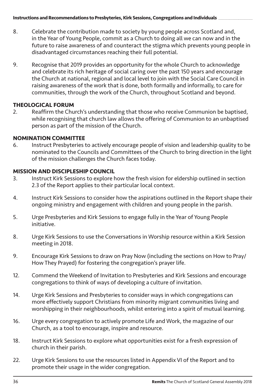- 8. Celebrate the contribution made to society by young people across Scotland and, in the Year of Young People, commit as a Church to doing all we can now and in the future to raise awareness of and counteract the stigma which prevents young people in disadvantaged circumstances reaching their full potential.
- 9. Recognise that 2019 provides an opportunity for the whole Church to acknowledge and celebrate its rich heritage of social caring over the past 150 years and encourage the Church at national, regional and local level to join with the Social Care Council in raising awareness of the work that is done, both formally and informally, to care for communities, through the work of the Church, throughout Scotland and beyond.

#### **THEOLOGICAL FORUM**

2. Reaffirm the Church's understanding that those who receive Communion be baptised, while recognising that church law allows the offering of Communion to an unbaptised person as part of the mission of the Church.

#### **NOMINATION COMMITTEE**

6. Instruct Presbyteries to actively encourage people of vision and leadership quality to be nominated to the Councils and Committees of the Church to bring direction in the light of the mission challenges the Church faces today.

# **MISSION AND DISCIPLESHIP COUNCIL**<br>3. Instruct Kirk Sessions to explore **b**

- Instruct Kirk Sessions to explore how the fresh vision for eldership outlined in section 2.3 of the Report applies to their particular local context.
- 4. Instruct Kirk Sessions to consider how the aspirations outlined in the Report shape their ongoing ministry and engagement with children and young people in the parish.
- 5. Urge Presbyteries and Kirk Sessions to engage fully in the Year of Young People initiative.
- 8. Urge Kirk Sessions to use the Conversations in Worship resource within a Kirk Session meeting in 2018.
- 9. Encourage Kirk Sessions to draw on Pray Now (including the sections on How to Pray/ How They Prayed) for fostering the congregation's prayer life.
- 12. Commend the Weekend of Invitation to Presbyteries and Kirk Sessions and encourage congregations to think of ways of developing a culture of invitation.
- 14. Urge Kirk Sessions and Presbyteries to consider ways in which congregations can more effectively support Christians from minority migrant communities living and worshipping in their neighbourhoods, whilst entering into a spirit of mutual learning.
- 16. Urge every congregation to actively promote Life and Work, the magazine of our Church, as a tool to encourage, inspire and resource.
- 18. Instruct Kirk Sessions to explore what opportunities exist for a fresh expression of church in their parish.
- 22. Urge Kirk Sessions to use the resources listed in Appendix VI of the Report and to promote their usage in the wider congregation.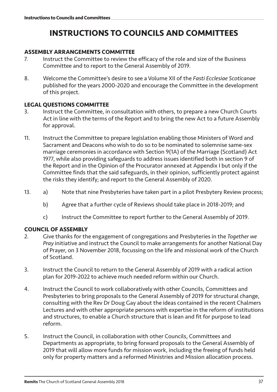# **INSTRUCTIONS TO COUNCILS AND COMMITTEES**

# **ASSEMBLY ARRANGEMENTS COMMITTEE**<br>7 Instruct the Committee to review the

- Instruct the Committee to review the efficacy of the role and size of the Business Committee and to report to the General Assembly of 2019.
- 8. Welcome the Committee's desire to see a Volume XII of the *Fasti Ecclesiae Scoticanae* published for the years 2000-2020 and encourage the Committee in the development of this project.

# **LEGAL QUESTIONS COMMITTEE**<br>3. Instruct the Committee, in

- Instruct the Committee, in consultation with others, to prepare a new Church Courts Act in line with the terms of the Report and to bring the new Act to a future Assembly for approval.
- 11. Instruct the Committee to prepare legislation enabling those Ministers of Word and Sacrament and Deacons who wish to do so to be nominated to solemnise same-sex marriage ceremonies in accordance with Section 9(1A) of the Marriage (Scotland) Act 1977, while also providing safeguards to address issues identified both in section 9 of the Report and in the Opinion of the Procurator annexed at Appendix I but only if the Committee finds that the said safeguards, in their opinion, sufficiently protect against the risks they identify; and report to the General Assembly of 2020.
- 13. a) Note that nine Presbyteries have taken part in a pilot Presbytery Review process;
	- b) Agree that a further cycle of Reviews should take place in 2018-2019; and
	- c) Instruct the Committee to report further to the General Assembly of 2019.

#### **COUNCIL OF ASSEMBLY**

- 2. Give thanks for the engagement of congregations and Presbyteries in the *Together we Pray* initiative and instruct the Council to make arrangements for another National Day of Prayer, on 3 November 2018, focussing on the life and missional work of the Church of Scotland.
- 3. Instruct the Council to return to the General Assembly of 2019 with a radical action plan for 2019-2022 to achieve much needed reform within our Church.
- 4. Instruct the Council to work collaboratively with other Councils, Committees and Presbyteries to bring proposals to the General Assembly of 2019 for structural change, consulting with the Rev Dr Doug Gay about the ideas contained in the recent Chalmers Lectures and with other appropriate persons with expertise in the reform of institutions and structures, to enable a Church structure that is lean and fit for purpose to lead reform.
- 5. Instruct the Council, in collaboration with other Councils, Committees and Departments as appropriate, to bring forward proposals to the General Assembly of 2019 that will allow more funds for mission work, including the freeing of funds held only for property matters and a reformed Ministries and Mission allocation process.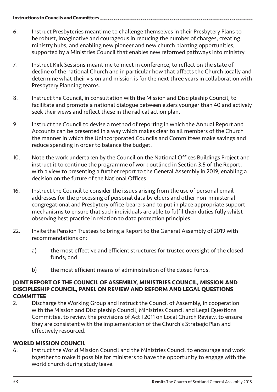- 6. Instruct Presbyteries meantime to challenge themselves in their Presbytery Plans to be robust, imaginative and courageous in reducing the number of charges, creating ministry hubs, and enabling new pioneer and new church planting opportunities, supported by a Ministries Council that enables new reformed pathways into ministry.
- 7. Instruct Kirk Sessions meantime to meet in conference, to reflect on the state of decline of the national Church and in particular how that affects the Church locally and determine what their vision and mission is for the next three years in collaboration with Presbytery Planning teams.
- 8. Instruct the Council, in consultation with the Mission and Discipleship Council, to facilitate and promote a national dialogue between elders younger than 40 and actively seek their views and reflect these in the radical action plan.
- 9. Instruct the Council to devise a method of reporting in which the Annual Report and Accounts can be presented in a way which makes clear to all members of the Church the manner in which the Unincorporated Councils and Committees make savings and reduce spending in order to balance the budget.
- 10. Note the work undertaken by the Council on the National Offices Buildings Project and instruct it to continue the programme of work outlined in Section 3.5 of the Report, with a view to presenting a further report to the General Assembly in 2019, enabling a decision on the future of the National Offices
- 16. Instruct the Council to consider the issues arising from the use of personal email addresses for the processing of personal data by elders and other non-ministerial congregational and Presbytery office-bearers and to put in place appropriate support mechanisms to ensure that such individuals are able to fulfil their duties fully whilst observing best practice in relation to data protection principles.
- 22. Invite the Pension Trustees to bring a Report to the General Assembly of 2019 with recommendations on:
	- a) the most effective and efficient structures for trustee oversight of the closed funds; and
	- b) the most efficient means of administration of the closed funds.

## **JOINT REPORT OF THE COUNCIL OF ASSEMBLY, MINISTRIES COUNCIL, MISSION AND DISCIPLESHIP COUNCIL, PANEL ON REVIEW AND REFORM AND LEGAL QUESTIONS COMMITTEE**

2. Discharge the Working Group and instruct the Council of Assembly, in cooperation with the Mission and Discipleship Council, Ministries Council and Legal Questions Committee, to review the provisions of Act I 2011 on Local Church Review, to ensure they are consistent with the implementation of the Church's Strategic Plan and effectively resourced.

## **WORLD MISSION COUNCIL**

6. Instruct the World Mission Council and the Ministries Council to encourage and work together to make it possible for ministers to have the opportunity to engage with the world church during study leave.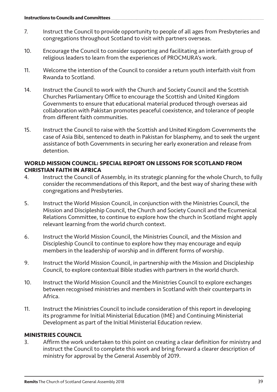- 7. Instruct the Council to provide opportunity to people of all ages from Presbyteries and congregations throughout Scotland to visit with partners overseas.
- 10. Encourage the Council to consider supporting and facilitating an interfaith group of religious leaders to learn from the experiences of PROCMURA's work.
- 11. Welcome the intention of the Council to consider a return youth interfaith visit from Rwanda to Scotland.
- 14. Instruct the Council to work with the Church and Society Council and the Scottish Churches Parliamentary Office to encourage the Scottish and United Kingdom Governments to ensure that educational material produced through overseas aid collaboration with Pakistan promotes peaceful coexistence, and tolerance of people from different faith communities.
- 15. Instruct the Council to raise with the Scottish and United Kingdom Governments the case of Asia Bibi, sentenced to death in Pakistan for blasphemy, and to seek the urgent assistance of both Governments in securing her early exoneration and release from detention.

#### **WORLD MISSION COUNCIL: SPECIAL REPORT ON LESSONS FOR SCOTLAND FROM CHRISTIAN FAITH IN AFRICA**

- 4. Instruct the Council of Assembly, in its strategic planning for the whole Church, to fully consider the recommendations of this Report, and the best way of sharing these with congregations and Presbyteries.
- 5. Instruct the World Mission Council, in conjunction with the Ministries Council, the Mission and Discipleship Council, the Church and Society Council and the Ecumenical Relations Committee, to continue to explore how the church in Scotland might apply relevant learning from the world church context.
- 6. Instruct the World Mission Council, the Ministries Council, and the Mission and Discipleship Council to continue to explore how they may encourage and equip members in the leadership of worship and in different forms of worship.
- 9. Instruct the World Mission Council, in partnership with the Mission and Discipleship Council, to explore contextual Bible studies with partners in the world church.
- 10. Instruct the World Mission Council and the Ministries Council to explore exchanges between recognised ministries and members in Scotland with their counterparts in Africa.
- 11. Instruct the Ministries Council to include consideration of this report in developing its programme for Initial Ministerial Education (IME) and Continuing Ministerial Development as part of the Initial Ministerial Education review.

## **MINISTRIES COUNCIL**

3. Affirm the work undertaken to this point on creating a clear definition for ministry and instruct the Council to complete this work and bring forward a clearer description of ministry for approval by the General Assembly of 2019.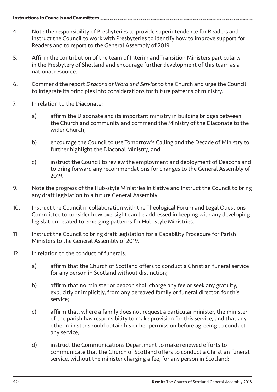- 4. Note the responsibility of Presbyteries to provide superintendence for Readers and instruct the Council to work with Presbyteries to identify how to improve support for Readers and to report to the General Assembly of 2019.
- 5. Affirm the contribution of the team of Interim and Transition Ministers particularly in the Presbytery of Shetland and encourage further development of this team as a national resource.
- 6. Commend the report *Deacons of Word and Service* to the Church and urge the Council to integrate its principles into considerations for future patterns of ministry.
- 7. In relation to the Diaconate:
	- a) affirm the Diaconate and its important ministry in building bridges between the Church and community and commend the Ministry of the Diaconate to the wider Church;
	- b) encourage the Council to use Tomorrow's Calling and the Decade of Ministry to further highlight the Diaconal Ministry; and
	- c) instruct the Council to review the employment and deployment of Deacons and to bring forward any recommendations for changes to the General Assembly of 2019.
- 9. Note the progress of the Hub-style Ministries initiative and instruct the Council to bring any draft legislation to a future General Assembly.
- 10. Instruct the Council in collaboration with the Theological Forum and Legal Questions Committee to consider how oversight can be addressed in keeping with any developing legislation related to emerging patterns for Hub-style Ministries.
- 11. Instruct the Council to bring draft legislation for a Capability Procedure for Parish Ministers to the General Assembly of 2019.
- 12. In relation to the conduct of funerals:
	- a) affirm that the Church of Scotland offers to conduct a Christian funeral service for any person in Scotland without distinction;
	- b) affirm that no minister or deacon shall charge any fee or seek any gratuity, explicitly or implicitly, from any bereaved family or funeral director, for this service;
	- c) affirm that, where a family does not request a particular minister, the minister of the parish has responsibility to make provision for this service, and that any other minister should obtain his or her permission before agreeing to conduct any service;
	- d) instruct the Communications Department to make renewed efforts to communicate that the Church of Scotland offers to conduct a Christian funeral service, without the minister charging a fee, for any person in Scotland;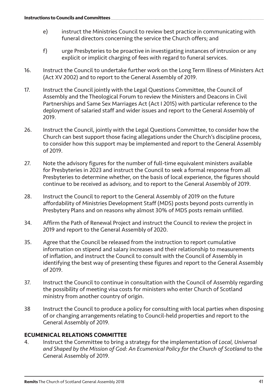- e) instruct the Ministries Council to review best practice in communicating with funeral directors concerning the service the Church offers; and
- f) urge Presbyteries to be proactive in investigating instances of intrusion or any explicit or implicit charging of fees with regard to funeral services.
- 16. Instruct the Council to undertake further work on the Long Term Illness of Ministers Act (Act XV 2002) and to report to the General Assembly of 2019.
- 17. Instruct the Council jointly with the Legal Questions Committee, the Council of Assembly and the Theological Forum to review the Ministers and Deacons in Civil Partnerships and Same Sex Marriages Act (Act I 2015) with particular reference to the deployment of salaried staff and wider issues and report to the General Assembly of 2019.
- 26. Instruct the Council, jointly with the Legal Questions Committee, to consider how the Church can best support those facing allegations under the Church's discipline process, to consider how this support may be implemented and report to the General Assembly of 2019.
- 27. Note the advisory figures for the number of full-time equivalent ministers available for Presbyteries in 2023 and instruct the Council to seek a formal response from all Presbyteries to determine whether, on the basis of local experience, the figures should continue to be received as advisory, and to report to the General Assembly of 2019.
- 28. Instruct the Council to report to the General Assembly of 2019 on the future affordability of Ministries Development Staff (MDS) posts beyond posts currently in Presbytery Plans and on reasons why almost 30% of MDS posts remain unfilled.
- 34. Affirm the Path of Renewal Project and instruct the Council to review the project in 2019 and report to the General Assembly of 2020.
- 35. Agree that the Council be released from the instruction to report cumulative information on stipend and salary increases and their relationship to measurements of inflation, and instruct the Council to consult with the Council of Assembly in identifying the best way of presenting these figures and report to the General Assembly of 2019.
- 37. Instruct the Council to continue in consultation with the Council of Assembly regarding the possibility of meeting visa costs for ministers who enter Church of Scotland ministry from another country of origin.
- 38 Instruct the Council to produce a policy for consulting with local parties when disposing of or changing arrangements relating to Council-held properties and report to the General Assembly of 2019.

## **ECUMENICAL RELATIONS COMMITTEE**

4. Instruct the Committee to bring a strategy for the implementation of *Local, Universal and Shaped by the Mission of God: An Ecumenical Policy for the Church of Scotland* to the General Assembly of 2019.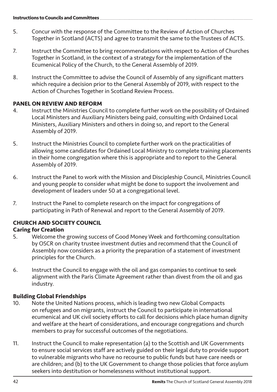- 5. Concur with the response of the Committee to the Review of Action of Churches Together in Scotland (ACTS) and agree to transmit the same to the Trustees of ACTS.
- 7. Instruct the Committee to bring recommendations with respect to Action of Churches Together in Scotland, in the context of a strategy for the implementation of the Ecumenical Policy of the Church, to the General Assembly of 2019.
- 8. Instruct the Committee to advise the Council of Assembly of any significant matters which require a decision prior to the General Assembly of 2019, with respect to the Action of Churches Together in Scotland Review Process.

## **PANEL ON REVIEW AND REFORM**

- 4. Instruct the Ministries Council to complete further work on the possibility of Ordained Local Ministers and Auxiliary Ministers being paid, consulting with Ordained Local Ministers, Auxiliary Ministers and others in doing so, and report to the General Assembly of 2019.
- 5. Instruct the Ministries Council to complete further work on the practicalities of allowing some candidates for Ordained Local Ministry to complete training placements in their home congregation where this is appropriate and to report to the General Assembly of 2019.
- 6. Instruct the Panel to work with the Mission and Discipleship Council, Ministries Council and young people to consider what might be done to support the involvement and development of leaders under 50 at a congregational level.
- 7. Instruct the Panel to complete research on the impact for congregations of participating in Path of Renewal and report to the General Assembly of 2019.

## **CHURCH AND SOCIETY COUNCIL**

## **Caring for Creation**

- 5. Welcome the growing success of Good Money Week and forthcoming consultation by OSCR on charity trustee investment duties and recommend that the Council of Assembly now considers as a priority the preparation of a statement of investment principles for the Church.
- 6. Instruct the Council to engage with the oil and gas companies to continue to seek alignment with the Paris Climate Agreement rather than divest from the oil and gas industry.

## **Building Global Friendships**

- 10. Note the United Nations process, which is leading two new Global Compacts on refugees and on migrants, instruct the Council to participate in international ecumenical and UK civil society efforts to call for decisions which place human dignity and welfare at the heart of considerations, and encourage congregations and church members to pray for successful outcomes of the negotiations.
- 11. Instruct the Council to make representation (a) to the Scottish and UK Governments to ensure social services staff are actively guided on their legal duty to provide support to vulnerable migrants who have no recourse to public funds but have care needs or are children; and (b) to the UK Government to change those policies that force asylum seekers into destitution or homelessness without institutional support.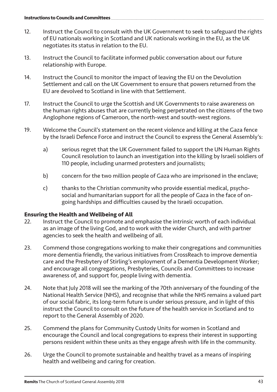- 12. Instruct the Council to consult with the UK Government to seek to safeguard the rights of EU nationals working in Scotland and UK nationals working in the EU, as the UK negotiates its status in relation to the EU.
- 13. Instruct the Council to facilitate informed public conversation about our future relationship with Europe.
- 14. Instruct the Council to monitor the impact of leaving the EU on the Devolution Settlement and call on the UK Government to ensure that powers returned from the EU are devolved to Scotland in line with that Settlement.
- 17. Instruct the Council to urge the Scottish and UK Governments to raise awareness on the human rights abuses that are currently being perpetrated on the citizens of the two Anglophone regions of Cameroon, the north-west and south-west regions.
- 19. Welcome the Council's statement on the recent violence and killing at the Gaza fence by the Israeli Defence Force and instruct the Council to express the General Assembly's:
	- a) serious regret that the UK Government failed to support the UN Human Rights Council resolution to launch an investigation into the killing by Israeli soldiers of 110 people, including unarmed protesters and journalists;
	- b) concern for the two million people of Gaza who are imprisoned in the enclave;
	- c) thanks to the Christian community who provide essential medical, psychosocial and humanitarian support for all the people of Gaza in the face of ongoing hardships and difficulties caused by the Israeli occupation.

# **Ensuring the Health and Wellbeing of All**<br>22. **Instruct the Council to promote and**

- 22. Instruct the Council to promote and emphasise the intrinsic worth of each individual as an image of the living God, and to work with the wider Church, and with partner agencies to seek the health and wellbeing of all.
- 23. Commend those congregations working to make their congregations and communities more dementia friendly, the various initiatives from CrossReach to improve dementia care and the Presbytery of Stirling's employment of a Dementia Development Worker; and encourage all congregations, Presbyteries, Councils and Committees to increase awareness of, and support for, people living with dementia.
- 24. Note that July 2018 will see the marking of the 70th anniversary of the founding of the National Health Service (NHS), and recognise that while the NHS remains a valued part of our social fabric, its long-term future is under serious pressure, and in light of this instruct the Council to consult on the future of the health service in Scotland and to report to the General Assembly of 2020.
- 25. Commend the plans for Community Custody Units for women in Scotland and encourage the Council and local congregations to express their interest in supporting persons resident within these units as they engage afresh with life in the community.
- 26. Urge the Council to promote sustainable and healthy travel as a means of inspiring health and wellbeing and caring for creation.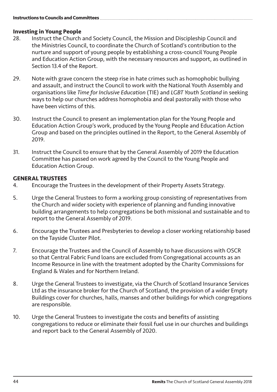# **Investing in Young People**<br>28. **Instruct the Church**

- Instruct the Church and Society Council, the Mission and Discipleship Council and the Ministries Council, to coordinate the Church of Scotland's contribution to the nurture and support of young people by establishing a cross-council Young People and Education Action Group, with the necessary resources and support, as outlined in Section 13.4 of the Report.
- 29. Note with grave concern the steep rise in hate crimes such as homophobic bullying and assault, and instruct the Council to work with the National Youth Assembly and organisations like *Time for Inclusive Education* (TIE) and *LGBT Youth Scotland* in seeking ways to help our churches address homophobia and deal pastorally with those who have been victims of this.
- 30. Instruct the Council to present an implementation plan for the Young People and Education Action Group's work, produced by the Young People and Education Action Group and based on the principles outlined in the Report, to the General Assembly of 2019.
- 31. Instruct the Council to ensure that by the General Assembly of 2019 the Education Committee has passed on work agreed by the Council to the Young People and Education Action Group.

# **GENERAL TRUSTEES**

- 4. Encourage the Trustees in the development of their Property Assets Strategy.
- 5. Urge the General Trustees to form a working group consisting of representatives from the Church and wider society with experience of planning and funding innovative building arrangements to help congregations be both missional and sustainable and to report to the General Assembly of 2019.
- 6. Encourage the Trustees and Presbyteries to develop a closer working relationship based on the Tayside Cluster Pilot.
- 7. Encourage the Trustees and the Council of Assembly to have discussions with OSCR so that Central Fabric Fund loans are excluded from Congregational accounts as an Income Resource in line with the treatment adopted by the Charity Commissions for England & Wales and for Northern Ireland.
- 8. Urge the General Trustees to investigate, via the Church of Scotland Insurance Services Ltd as the insurance broker for the Church of Scotland, the provision of a wider Empty Buildings cover for churches, halls, manses and other buildings for which congregations are responsible.
- 10. Urge the General Trustees to investigate the costs and benefits of assisting congregations to reduce or eliminate their fossil fuel use in our churches and buildings and report back to the General Assembly of 2020.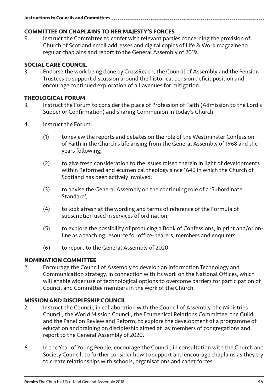# **COMMITTEE ON CHAPLAINS TO HER MAJESTY'S FORCES**

Instruct the Committee to confer with relevant parties concerning the provision of Church of Scotland email addresses and digital copies of Life & Work magazine to regular chaplains and report to the General Assembly of 2019.

# **SOCIAL CARE COUNCIL**<br>**B** Endorse the work

3. Endorse the work being done by CrossReach, the Council of Assembly and the Pension Trustees to support discussion around the historical pension deficit position and encourage continued exploration of all avenues for mitigation.

#### **THEOLOGICAL FORUM**

- 3. Instruct the Forum to consider the place of Profession of Faith (Admission to the Lord's Supper or Confirmation) and sharing Communion in today's Church.
- 4. Instruct the Forum:
	- (1) to review the reports and debates on the role of the Westminster Confession of Faith in the Church's life arising from the General Assembly of 1968 and the years following;
	- (2) to give fresh consideration to the issues raised therein in light of developments within Reformed and ecumenical theology since 1646 in which the Church of Scotland has been actively involved;
	- (3) to advise the General Assembly on the continuing role of a 'Subordinate Standard';
	- (4) to look afresh at the wording and terms of reference of the Formula of subscription used in services of ordination;
	- (5) to explore the possibility of producing a Book of Confessions, in print and/or online as a teaching resource for office-bearers, members and enquirers;
	- (6) to report to the General Assembly of 2020.

# **NOMINATION COMMITTEE**

2. Encourage the Council of Assembly to develop an Information Technology and Communication strategy, in connection with its work on the National Offices, which will enable wider use of technological options to overcome barriers for participation of Council and Committee members in the work of the Church.

#### **MISSION AND DISCIPLESHIP COUNCIL**

- 2. Instruct the Council, in collaboration with the Council of Assembly, the Ministries Council, the World Mission Council, the Ecumenical Relations Committee, the Guild and the Panel on Review and Reform, to explore the development of a programme of education and training on discipleship aimed at lay members of congregations and report to the General Assembly of 2020.
- 6. In the Year of Young People, encourage the Council, in consultation with the Church and Society Council, to further consider how to support and encourage chaplains as they try to create relationships with schools, organisations and cadet forces.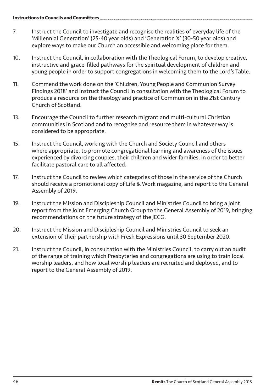- 7. Instruct the Council to investigate and recognise the realities of everyday life of the 'Millennial Generation' (25-40 year olds) and 'Generation X' (30-50 year olds) and explore ways to make our Church an accessible and welcoming place for them.
- 10. Instruct the Council, in collaboration with the Theological Forum, to develop creative, instructive and grace-filled pathways for the spiritual development of children and young people in order to support congregations in welcoming them to the Lord's Table.
- 11. Commend the work done on the 'Children, Young People and Communion Survey Findings 2018' and instruct the Council in consultation with the Theological Forum to produce a resource on the theology and practice of Communion in the 21st Century Church of Scotland.
- 13. Encourage the Council to further research migrant and multi-cultural Christian communities in Scotland and to recognise and resource them in whatever way is considered to be appropriate.
- 15. Instruct the Council, working with the Church and Society Council and others where appropriate, to promote congregational learning and awareness of the issues experienced by divorcing couples, their children and wider families, in order to better facilitate pastoral care to all affected.
- 17. Instruct the Council to review which categories of those in the service of the Church should receive a promotional copy of Life & Work magazine, and report to the General Assembly of 2019.
- 19. Instruct the Mission and Discipleship Council and Ministries Council to bring a joint report from the Joint Emerging Church Group to the General Assembly of 2019, bringing recommendations on the future strategy of the JECG.
- 20. Instruct the Mission and Discipleship Council and Ministries Council to seek an extension of their partnership with Fresh Expressions until 30 September 2020.
- 21. Instruct the Council, in consultation with the Ministries Council, to carry out an audit of the range of training which Presbyteries and congregations are using to train local worship leaders, and how local worship leaders are recruited and deployed, and to report to the General Assembly of 2019.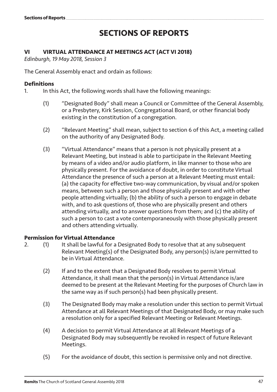# **SECTIONS OF REPORTS**

### **VI VIRTUAL ATTENDANCE AT MEETINGS ACT (ACT VI 2018)**

*Edinburgh, 19 May 2018, Session 3*

The General Assembly enact and ordain as follows:

# **Definitions**

- In this Act, the following words shall have the following meanings:
	- (1) "Designated Body" shall mean a Council or Committee of the General Assembly, or a Presbytery, Kirk Session, Congregational Board, or other financial body existing in the constitution of a congregation.
	- (2) "Relevant Meeting" shall mean, subject to section 6 of this Act, a meeting called on the authority of any Designated Body.
	- (3) "Virtual Attendance" means that a person is not physically present at a Relevant Meeting, but instead is able to participate in the Relevant Meeting by means of a video and/or audio platform, in like manner to those who are physically present. For the avoidance of doubt, in order to constitute Virtual Attendance the presence of such a person at a Relevant Meeting must entail: (a) the capacity for effective two-way communication, by visual and/or spoken means, between such a person and those physically present and with other people attending virtually; (b) the ability of such a person to engage in debate with, and to ask questions of, those who are physically present and others attending virtually, and to answer questions from them; and (c) the ability of such a person to cast a vote contemporaneously with those physically present and others attending virtually.

#### **Permission for Virtual Attendance**

- 2. (1) It shall be lawful for a Designated Body to resolve that at any subsequent Relevant Meeting(s) of the Designated Body, any person(s) is/are permitted to be in Virtual Attendance.
	- (2) If and to the extent that a Designated Body resolves to permit Virtual Attendance, it shall mean that the person(s) in Virtual Attendance is/are deemed to be present at the Relevant Meeting for the purposes of Church law in the same way as if such person(s) had been physically present.
	- (3) The Designated Body may make a resolution under this section to permit Virtual Attendance at all Relevant Meetings of that Designated Body, or may make such a resolution only for a specified Relevant Meeting or Relevant Meetings.
	- (4) A decision to permit Virtual Attendance at all Relevant Meetings of a Designated Body may subsequently be revoked in respect of future Relevant Meetings.
	- (5) For the avoidance of doubt, this section is permissive only and not directive.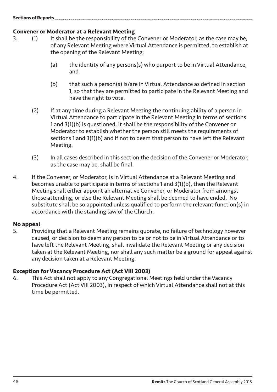#### **Sections of Reports**

# **Convener or Moderator at a Relevant Meeting**<br>3. (1) It shall be the responsibility of the

- It shall be the responsibility of the Convener or Moderator, as the case may be, of any Relevant Meeting where Virtual Attendance is permitted, to establish at the opening of the Relevant Meeting;
	- (a) the identity of any persons(s) who purport to be in Virtual Attendance, and
	- (b) that such a person(s) is/are in Virtual Attendance as defined in section 1, so that they are permitted to participate in the Relevant Meeting and have the right to vote.
	- (2) If at any time during a Relevant Meeting the continuing ability of a person in Virtual Attendance to participate in the Relevant Meeting in terms of sections 1 and 3(1)(b) is questioned, it shall be the responsibility of the Convener or Moderator to establish whether the person still meets the requirements of sections 1 and 3(1)(b) and if not to deem that person to have left the Relevant Meeting.
	- (3) In all cases described in this section the decision of the Convener or Moderator, as the case may be, shall be final.
- 4. If the Convener, or Moderator, is in Virtual Attendance at a Relevant Meeting and becomes unable to participate in terms of sections 1 and 3(1)(b), then the Relevant Meeting shall either appoint an alternative Convener, or Moderator from amongst those attending, or else the Relevant Meeting shall be deemed to have ended. No substitute shall be so appointed unless qualified to perform the relevant function(s) in accordance with the standing law of the Church.

#### **No appeal**

5. Providing that a Relevant Meeting remains quorate, no failure of technology however caused, or decision to deem any person to be or not to be in Virtual Attendance or to have left the Relevant Meeting, shall invalidate the Relevant Meeting or any decision taken at the Relevant Meeting, nor shall any such matter be a ground for appeal against any decision taken at a Relevant Meeting.

#### **Exception for Vacancy Procedure Act (Act VIII 2003)**

6. This Act shall not apply to any Congregational Meetings held under the Vacancy Procedure Act (Act VIII 2003), in respect of which Virtual Attendance shall not at this time be permitted.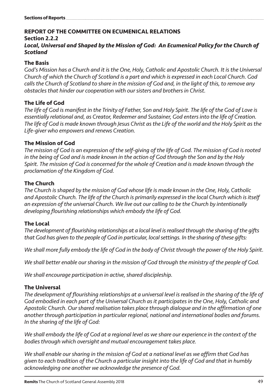## **REPORT OF THE COMMITTEE ON ECUMENICAL RELATIONS**

#### **Section 2.2.2**

## Local, Universal and Shaped by the Mission of God: An Ecumenical Policy for the Church of *Scotland*

### **The Basis**

*God's Mission has a Church and it is the One, Holy, Catholic and Apostolic Church. It is the Universal Church of which the Church of Scotland is a part and which is expressed in each Local Church. God calls the Church of Scotland to share in the mission of God and, in the light of this, to remove any obstacles that hinder our cooperation with our sisters and brothers in Christ.*

## **The Life of God**

*The life of God is manifest in the Trinity of Father, Son and Holy Spirit. The life of the God of Love is essentially relational and, as Creator, Redeemer and Sustainer, God enters into the life of Creation. The life of God is made known through Jesus Christ as the Life of the world and the Holy Spirit as the Life-giver who empowers and renews Creation.* 

## **The Mission of God**

*The mission of God is an expression of the self-giving of the life of God. The mission of God is rooted in the being of God and is made known in the action of God through the Son and by the Holy Spirit. The mission of God is concerned for the whole of Creation and is made known through the proclamation of the Kingdom of God.* 

#### **The Church**

*The Church is shaped by the mission of God whose life is made known in the One, Holy, Catholic and Apostolic Church. The life of the Church is primarily expressed in the local Church which is itself an expression of the universal Church. We live out our calling to be the Church by intentionally developing flourishing relationships which embody the life of God.*

## **The Local**

*The development of flourishing relationships at a local level is realised through the sharing of the gifts that God has given to the people of God in particular, local settings. In the sharing of these gifts:*

*We shall more fully embody the life of God in the body of Christ through the power of the Holy Spirit.*

*We shall better enable our sharing in the mission of God through the ministry of the people of God.*

*We shall encourage participation in active, shared discipleship.*

## **The Universal**

*The development of flourishing relationships at a universal level is realised in the sharing of the life of God embodied in each part of the Universal Church as it participates in the One, Holy, Catholic and Apostolic Church. Our shared realisation takes place through dialogue and in the affirmation of one another through participation in particular regional, national and international bodies and forums. In the sharing of the life of God:*

*We shall embody the life of God at a regional level as we share our experience in the context of the bodies through which oversight and mutual encouragement takes place.*

*We shall enable our sharing in the mission of God at a national level as we affirm that God has given to each tradition of the Church a particular insight into the life of God and that in humbly acknowledging one another we acknowledge the presence of God.*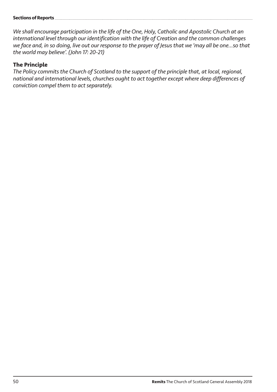#### **Sections of Reports**

*We shall encourage participation in the life of the One, Holy, Catholic and Apostolic Church at an international level through our identification with the life of Creation and the common challenges we face and, in so doing, live out our response to the prayer of Jesus that we 'may all be one…so that the world may believe'. (John 17: 20-21)*

#### **The Principle**

*The Policy commits the Church of Scotland to the support of the principle that, at local, regional, national and international levels, churches ought to act together except where deep differences of conviction compel them to act separately.*